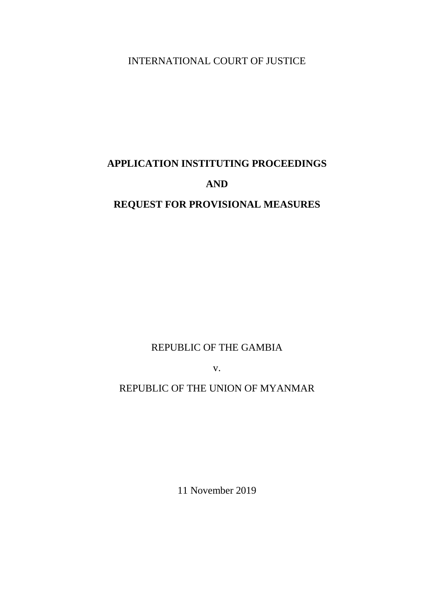INTERNATIONAL COURT OF JUSTICE

# **APPLICATION INSTITUTING PROCEEDINGS AND**

# **REQUEST FOR PROVISIONAL MEASURES**

REPUBLIC OF THE GAMBIA

v.

# REPUBLIC OF THE UNION OF MYANMAR

11 November 2019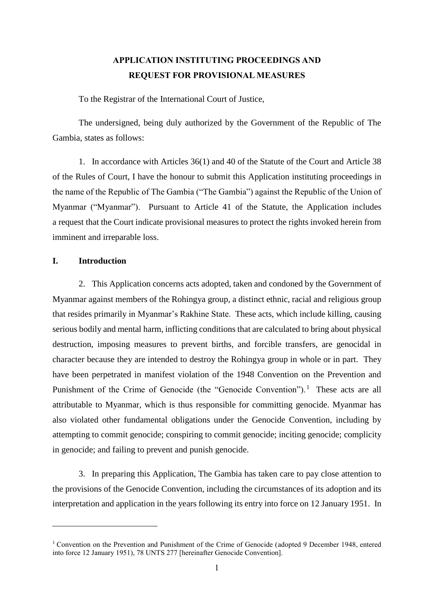# **APPLICATION INSTITUTING PROCEEDINGS AND REQUEST FOR PROVISIONAL MEASURES**

To the Registrar of the International Court of Justice,

The undersigned, being duly authorized by the Government of the Republic of The Gambia, states as follows:

1. In accordance with Articles 36(1) and 40 of the Statute of the Court and Article 38 of the Rules of Court, I have the honour to submit this Application instituting proceedings in the name of the Republic of The Gambia ("The Gambia") against the Republic of the Union of Myanmar ("Myanmar"). Pursuant to Article 41 of the Statute, the Application includes a request that the Court indicate provisional measures to protect the rights invoked herein from imminent and irreparable loss.

# **I. Introduction**

<u>.</u>

2. This Application concerns acts adopted, taken and condoned by the Government of Myanmar against members of the Rohingya group, a distinct ethnic, racial and religious group that resides primarily in Myanmar's Rakhine State. These acts, which include killing, causing serious bodily and mental harm, inflicting conditions that are calculated to bring about physical destruction, imposing measures to prevent births, and forcible transfers, are genocidal in character because they are intended to destroy the Rohingya group in whole or in part. They have been perpetrated in manifest violation of the 1948 Convention on the Prevention and Punishment of the Crime of Genocide (the "Genocide Convention").<sup>1</sup> These acts are all attributable to Myanmar, which is thus responsible for committing genocide. Myanmar has also violated other fundamental obligations under the Genocide Convention, including by attempting to commit genocide; conspiring to commit genocide; inciting genocide; complicity in genocide; and failing to prevent and punish genocide.

3. In preparing this Application, The Gambia has taken care to pay close attention to the provisions of the Genocide Convention, including the circumstances of its adoption and its interpretation and application in the years following its entry into force on 12 January 1951. In

<sup>&</sup>lt;sup>1</sup> Convention on the Prevention and Punishment of the Crime of Genocide (adopted 9 December 1948, entered into force 12 January 1951), 78 UNTS 277 [hereinafter Genocide Convention].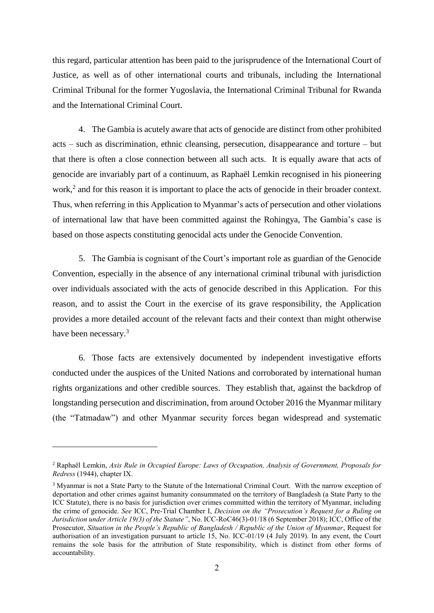this regard, particular attention has been paid to the jurisprudence of the International Court of Justice, as well as of other international courts and tribunals, including the International Criminal Tribunal for the former Yugoslavia, the International Criminal Tribunal for Rwanda and the International Criminal Court.

4. The Gambia is acutely aware that acts of genocide are distinct from other prohibited acts – such as discrimination, ethnic cleansing, persecution, disappearance and torture – but that there is often a close connection between all such acts. It is equally aware that acts of genocide are invariably part of a continuum, as Raphaël Lemkin recognised in his pioneering work,<sup>2</sup> and for this reason it is important to place the acts of genocide in their broader context. Thus, when referring in this Application to Myanmar's acts of persecution and other violations of international law that have been committed against the Rohingya, The Gambia's case is based on those aspects constituting genocidal acts under the Genocide Convention.

5. The Gambia is cognisant of the Court's important role as guardian of the Genocide Convention, especially in the absence of any international criminal tribunal with jurisdiction over individuals associated with the acts of genocide described in this Application. For this reason, and to assist the Court in the exercise of its grave responsibility, the Application provides a more detailed account of the relevant facts and their context than might otherwise have been necessary.<sup>3</sup>

6. Those facts are extensively documented by independent investigative efforts conducted under the auspices of the United Nations and corroborated by international human rights organizations and other credible sources. They establish that, against the backdrop of longstanding persecution and discrimination, from around October 2016 the Myanmar military (the "Tatmadaw") and other Myanmar security forces began widespread and systematic

<sup>2</sup> Raphaël Lemkin, *Axis Rule in Occupied Europe: Laws of Occupation, Analysis of Government, Proposals for Redress* (1944), chapter IX.

<sup>&</sup>lt;sup>3</sup> Myanmar is not a State Party to the Statute of the International Criminal Court. With the narrow exception of deportation and other crimes against humanity consummated on the territory of Bangladesh (a State Party to the ICC Statute), there is no basis for jurisdiction over crimes committed within the territory of Myanmar, including the crime of genocide. *See* ICC, Pre-Trial Chamber I, *Decision on the "Prosecution's Request for a Ruling on Jurisdiction under Article 19(3) of the Statute"*, No. ICC-RoC46(3)-01/18 (6 September 2018); ICC, Office of the Prosecutor, *Situation in the People's Republic of Bangladesh / Republic of the Union of Myanmar*, Request for authorisation of an investigation pursuant to article 15, No. ICC-01/19 (4 July 2019). In any event, the Court remains the sole basis for the attribution of State responsibility, which is distinct from other forms of accountability.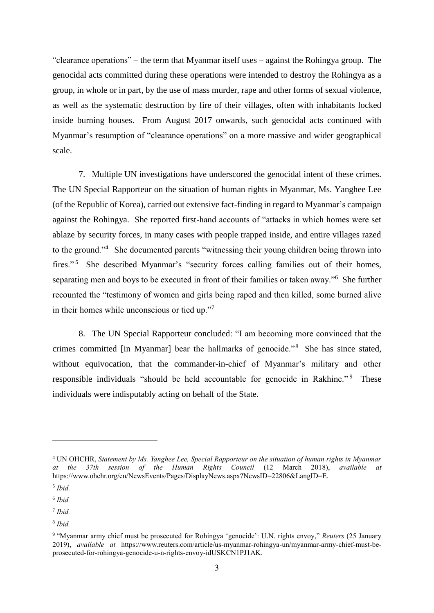"clearance operations" – the term that Myanmar itself uses – against the Rohingya group. The genocidal acts committed during these operations were intended to destroy the Rohingya as a group, in whole or in part, by the use of mass murder, rape and other forms of sexual violence, as well as the systematic destruction by fire of their villages, often with inhabitants locked inside burning houses. From August 2017 onwards, such genocidal acts continued with Myanmar's resumption of "clearance operations" on a more massive and wider geographical scale.

7. Multiple UN investigations have underscored the genocidal intent of these crimes. The UN Special Rapporteur on the situation of human rights in Myanmar, Ms. Yanghee Lee (of the Republic of Korea), carried out extensive fact-finding in regard to Myanmar's campaign against the Rohingya. She reported first-hand accounts of "attacks in which homes were set ablaze by security forces, in many cases with people trapped inside, and entire villages razed to the ground."<sup>4</sup> She documented parents "witnessing their young children being thrown into fires."<sup>5</sup> She described Myanmar's "security forces calling families out of their homes, separating men and boys to be executed in front of their families or taken away."<sup>6</sup> She further recounted the "testimony of women and girls being raped and then killed, some burned alive in their homes while unconscious or tied up."<sup>7</sup>

8. The UN Special Rapporteur concluded: "I am becoming more convinced that the crimes committed [in Myanmar] bear the hallmarks of genocide."<sup>8</sup> She has since stated, without equivocation, that the commander-in-chief of Myanmar's military and other responsible individuals "should be held accountable for genocide in Rakhine."<sup>9</sup> These individuals were indisputably acting on behalf of the State.

<sup>4</sup> UN OHCHR, *Statement by Ms. Yanghee Lee, Special Rapporteur on the situation of human rights in Myanmar at the 37th session of the Human Rights Council* (12 March 2018), *available at* https://www.ohchr.org/en/NewsEvents/Pages/DisplayNews.aspx?NewsID=22806&LangID=E.

<sup>5</sup> *Ibid.*

<sup>6</sup> *Ibid.*

<sup>7</sup> *Ibid.*

<sup>8</sup> *Ibid.*

<sup>9</sup> "Myanmar army chief must be prosecuted for Rohingya 'genocide': U.N. rights envoy," *Reuters* (25 January 2019), *available at* https://www.reuters.com/article/us-myanmar-rohingya-un/myanmar-army-chief-must-beprosecuted-for-rohingya-genocide-u-n-rights-envoy-idUSKCN1PJ1AK.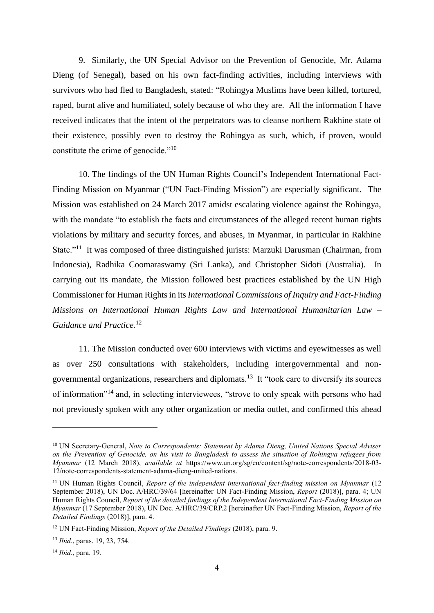9. Similarly, the UN Special Advisor on the Prevention of Genocide, Mr. Adama Dieng (of Senegal), based on his own fact-finding activities, including interviews with survivors who had fled to Bangladesh, stated: "Rohingya Muslims have been killed, tortured, raped, burnt alive and humiliated, solely because of who they are. All the information I have received indicates that the intent of the perpetrators was to cleanse northern Rakhine state of their existence, possibly even to destroy the Rohingya as such, which, if proven, would constitute the crime of genocide."<sup>10</sup>

10. The findings of the UN Human Rights Council's Independent International Fact-Finding Mission on Myanmar ("UN Fact-Finding Mission") are especially significant. The Mission was established on 24 March 2017 amidst escalating violence against the Rohingya, with the mandate "to establish the facts and circumstances of the alleged recent human rights violations by military and security forces, and abuses, in Myanmar, in particular in Rakhine State."<sup>11</sup> It was composed of three distinguished jurists: Marzuki Darusman (Chairman, from Indonesia), Radhika Coomaraswamy (Sri Lanka), and Christopher Sidoti (Australia). In carrying out its mandate, the Mission followed best practices established by the UN High Commissioner for Human Rights in its *International Commissions of Inquiry and Fact-Finding Missions on International Human Rights Law and International Humanitarian Law – Guidance and Practice.*<sup>12</sup>

11. The Mission conducted over 600 interviews with victims and eyewitnesses as well as over 250 consultations with stakeholders, including intergovernmental and nongovernmental organizations, researchers and diplomats.<sup>13</sup> It "took care to diversify its sources of information"<sup>14</sup> and, in selecting interviewees, "strove to only speak with persons who had not previously spoken with any other organization or media outlet, and confirmed this ahead

<sup>&</sup>lt;sup>10</sup> UN Secretary-General, *Note to Correspondents: Statement by Adama Dieng, United Nations Special Adviser on the Prevention of Genocide, on his visit to Bangladesh to assess the situation of Rohingya refugees from Myanmar* (12 March 2018), *available at* https://www.un.org/sg/en/content/sg/note-correspondents/2018-03- 12/note-correspondents-statement-adama-dieng-united-nations.

<sup>&</sup>lt;sup>11</sup> UN Human Rights Council, *Report of the independent international fact-finding mission on Myanmar* (12 September 2018), UN Doc. A/HRC/39/64 [hereinafter UN Fact-Finding Mission, *Report* (2018)], para. 4; UN Human Rights Council, *Report of the detailed findings of the Independent International Fact-Finding Mission on Myanmar* (17 September 2018), UN Doc. A/HRC/39/CRP.2 [hereinafter UN Fact-Finding Mission, *Report of the Detailed Findings* (2018)], para. 4.

<sup>12</sup> UN Fact-Finding Mission, *Report of the Detailed Findings* (2018), para. 9.

<sup>13</sup> *Ibid.*, paras. 19, 23, 754.

<sup>14</sup> *Ibid.*, para. 19.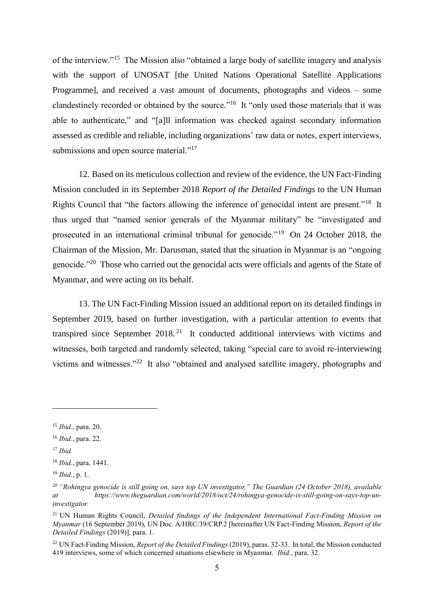of the interview."<sup>15</sup> The Mission also "obtained a large body of satellite imagery and analysis with the support of UNOSAT [the United Nations Operational Satellite Applications Programme], and received a vast amount of documents, photographs and videos – some clandestinely recorded or obtained by the source."<sup>16</sup> It "only used those materials that it was able to authenticate," and "[a]ll information was checked against secondary information assessed as credible and reliable, including organizations' raw data or notes, expert interviews, submissions and open source material."<sup>17</sup>

12. Based on its meticulous collection and review of the evidence, the UN Fact-Finding Mission concluded in its September 2018 *Report of the Detailed Findings* to the UN Human Rights Council that "the factors allowing the inference of genocidal intent are present."<sup>18</sup> It thus urged that "named senior generals of the Myanmar military" be "investigated and prosecuted in an international criminal tribunal for genocide."<sup>19</sup> On 24 October 2018, the Chairman of the Mission, Mr. Darusman, stated that the situation in Myanmar is an "ongoing genocide."<sup>20</sup> Those who carried out the genocidal acts were officials and agents of the State of Myanmar, and were acting on its behalf.

13. The UN Fact-Finding Mission issued an additional report on its detailed findings in September 2019, based on further investigation, with a particular attention to events that transpired since September  $2018<sup>21</sup>$  It conducted additional interviews with victims and witnesses, both targeted and randomly selected, taking "special care to avoid re-interviewing victims and witnesses."<sup>22</sup> It also "obtained and analysed satellite imagery, photographs and

<sup>17</sup> *Ibid.*

<sup>15</sup> *Ibid.*, para. 20.

<sup>16</sup> *Ibid.*, para. 22.

<sup>18</sup> *Ibid.*, para. 1441.

<sup>19</sup> *Ibid.*, p. 1.

*<sup>20</sup> "Rohingya genocide is still going on, says top UN investigator," The Guardian (24 October 2018), available at https://www.theguardian.com/world/2018/oct/24/rohingya-genocide-is-still-going-on-says-top-uninvestigator.*

<sup>21</sup> UN Human Rights Council, *Detailed findings of the Independent International Fact-Finding Mission on Myanmar* (16 September 2019), UN Doc. A/HRC/39/CRP.2 [hereinafter UN Fact-Finding Mission, *Report of the Detailed Findings* (2019)], para. 1.

<sup>22</sup> UN Fact-Finding Mission, *Report of the Detailed Findings* (2019), paras. 32-33. In total, the Mission conducted 419 interviews, some of which concerned situations elsewhere in Myanmar. *Ibid.*, para. 32.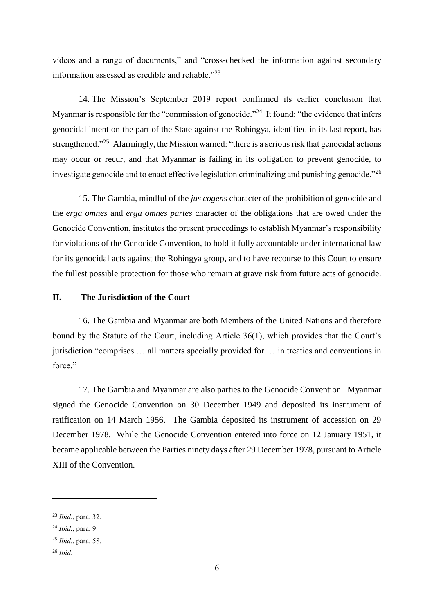videos and a range of documents," and "cross-checked the information against secondary information assessed as credible and reliable."<sup>23</sup>

14. The Mission's September 2019 report confirmed its earlier conclusion that Myanmar is responsible for the "commission of genocide."<sup>24</sup> It found: "the evidence that infers genocidal intent on the part of the State against the Rohingya, identified in its last report, has strengthened."<sup>25</sup> Alarmingly, the Mission warned: "there is a serious risk that genocidal actions may occur or recur, and that Myanmar is failing in its obligation to prevent genocide, to investigate genocide and to enact effective legislation criminalizing and punishing genocide. $^{226}$ 

15. The Gambia, mindful of the *jus cogens* character of the prohibition of genocide and the *erga omnes* and *erga omnes partes* character of the obligations that are owed under the Genocide Convention, institutes the present proceedings to establish Myanmar's responsibility for violations of the Genocide Convention, to hold it fully accountable under international law for its genocidal acts against the Rohingya group, and to have recourse to this Court to ensure the fullest possible protection for those who remain at grave risk from future acts of genocide.

# **II. The Jurisdiction of the Court**

16. The Gambia and Myanmar are both Members of the United Nations and therefore bound by the Statute of the Court, including Article 36(1), which provides that the Court's jurisdiction "comprises … all matters specially provided for … in treaties and conventions in force."

17. The Gambia and Myanmar are also parties to the Genocide Convention. Myanmar signed the Genocide Convention on 30 December 1949 and deposited its instrument of ratification on 14 March 1956. The Gambia deposited its instrument of accession on 29 December 1978. While the Genocide Convention entered into force on 12 January 1951, it became applicable between the Parties ninety days after 29 December 1978, pursuant to Article XIII of the Convention.

<sup>23</sup> *Ibid.*, para. 32.

<sup>24</sup> *Ibid.*, para. 9.

<sup>25</sup> *Ibid.*, para. 58.

<sup>26</sup> *Ibid.*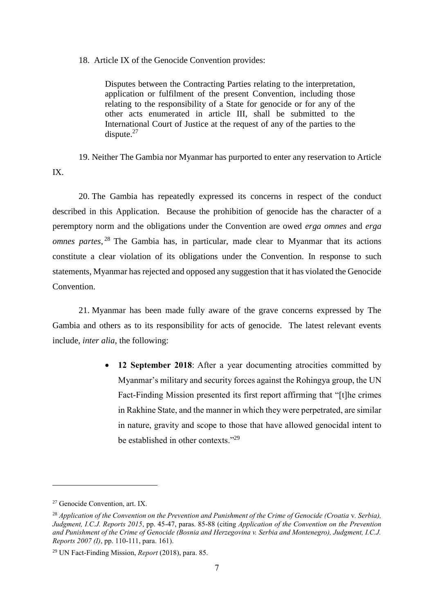18. Article IX of the Genocide Convention provides:

Disputes between the Contracting Parties relating to the interpretation, application or fulfilment of the present Convention, including those relating to the responsibility of a State for genocide or for any of the other acts enumerated in article III, shall be submitted to the International Court of Justice at the request of any of the parties to the dispute.<sup>27</sup>

19. Neither The Gambia nor Myanmar has purported to enter any reservation to Article IX.

20. The Gambia has repeatedly expressed its concerns in respect of the conduct described in this Application. Because the prohibition of genocide has the character of a peremptory norm and the obligations under the Convention are owed *erga omnes* and *erga omnes partes*, <sup>28</sup> The Gambia has, in particular, made clear to Myanmar that its actions constitute a clear violation of its obligations under the Convention. In response to such statements, Myanmar has rejected and opposed any suggestion that it has violated the Genocide **Convention** 

21. Myanmar has been made fully aware of the grave concerns expressed by The Gambia and others as to its responsibility for acts of genocide. The latest relevant events include, *inter alia*, the following:

> • 12 September 2018: After a year documenting atrocities committed by Myanmar's military and security forces against the Rohingya group, the UN Fact-Finding Mission presented its first report affirming that "[t]he crimes in Rakhine State, and the manner in which they were perpetrated, are similar in nature, gravity and scope to those that have allowed genocidal intent to be established in other contexts."<sup>29</sup>

<sup>27</sup> Genocide Convention, art. IX.

<sup>28</sup> *Application of the Convention on the Prevention and Punishment of the Crime of Genocide (Croatia* v*. Serbia), Judgment, I.C.J. Reports 2015*, pp. 45-47, paras. 85-88 (citing *Application of the Convention on the Prevention and Punishment of the Crime of Genocide (Bosnia and Herzegovina v. Serbia and Montenegro), Judgment, I.C.J. Reports 2007 (I)*, pp. 110-111, para. 161).

<sup>29</sup> UN Fact-Finding Mission, *Report* (2018), para. 85.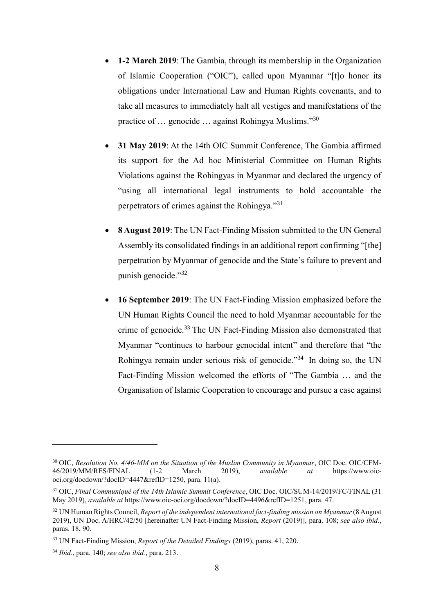- **1-2 March 2019**: The Gambia, through its membership in the Organization of Islamic Cooperation ("OIC"), called upon Myanmar "[t]o honor its obligations under International Law and Human Rights covenants, and to take all measures to immediately halt all vestiges and manifestations of the practice of ... genocide ... against Rohingya Muslims."30
- **31 May 2019**: At the 14th OIC Summit Conference, The Gambia affirmed its support for the Ad hoc Ministerial Committee on Human Rights Violations against the Rohingyas in Myanmar and declared the urgency of "using all international legal instruments to hold accountable the perpetrators of crimes against the Rohingya."<sup>31</sup>
- **8 August 2019**: The UN Fact-Finding Mission submitted to the UN General Assembly its consolidated findings in an additional report confirming "[the] perpetration by Myanmar of genocide and the State's failure to prevent and punish genocide." 32
- **16 September 2019**: The UN Fact-Finding Mission emphasized before the UN Human Rights Council the need to hold Myanmar accountable for the crime of genocide.<sup>33</sup> The UN Fact-Finding Mission also demonstrated that Myanmar "continues to harbour genocidal intent" and therefore that "the Rohingya remain under serious risk of genocide."<sup>34</sup> In doing so, the UN Fact-Finding Mission welcomed the efforts of "The Gambia … and the Organisation of Islamic Cooperation to encourage and pursue a case against

<sup>30</sup> OIC, *Resolution No. 4/46-MM on the Situation of the Muslim Community in Myanmar*, OIC Doc. OIC/CFM-46/2019/MM/RES/FINAL (1-2 March 2019), *available at* https://www.oicoci.org/docdown/?docID=4447&refID=1250, para. 11(a).

<sup>31</sup> OIC, *Final Communiqué of the 14th Islamic Summit Conference*, OIC Doc. OIC/SUM-14/2019/FC/FINAL (31 May 2019), *available at* https://www.oic-oci.org/docdown/?docID=4496&refID=1251, para. 47.

<sup>&</sup>lt;sup>32</sup> UN Human Rights Council, *Report of the independent international fact-finding mission on Myanmar (8 August* 2019), UN Doc. A/HRC/42/50 [hereinafter UN Fact-Finding Mission, *Report* (2019)], para. 108; *see also ibid.*, paras. 18, 90.

<sup>33</sup> UN Fact-Finding Mission, *Report of the Detailed Findings* (2019), paras. 41, 220.

<sup>34</sup> *Ibid.*, para. 140; *see also ibid.*, para. 213.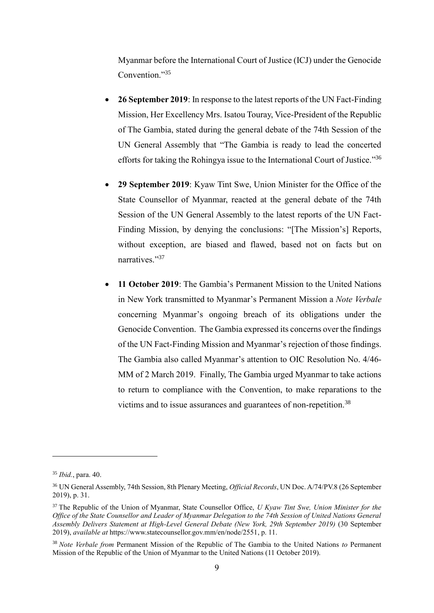Myanmar before the International Court of Justice (ICJ) under the Genocide Convention."35

- **26 September 2019**: In response to the latest reports of the UN Fact-Finding Mission, Her Excellency Mrs. Isatou Touray, Vice-President of the Republic of The Gambia, stated during the general debate of the 74th Session of the UN General Assembly that "The Gambia is ready to lead the concerted efforts for taking the Rohingya issue to the International Court of Justice."36
- **29 September 2019**: Kyaw Tint Swe, Union Minister for the Office of the State Counsellor of Myanmar, reacted at the general debate of the 74th Session of the UN General Assembly to the latest reports of the UN Fact-Finding Mission, by denying the conclusions: "[The Mission's] Reports, without exception, are biased and flawed, based not on facts but on narratives."37
- **11 October 2019**: The Gambia's Permanent Mission to the United Nations in New York transmitted to Myanmar's Permanent Mission a *Note Verbale* concerning Myanmar's ongoing breach of its obligations under the Genocide Convention. The Gambia expressed its concerns over the findings of the UN Fact-Finding Mission and Myanmar's rejection of those findings. The Gambia also called Myanmar's attention to OIC Resolution No. 4/46- MM of 2 March 2019. Finally, The Gambia urged Myanmar to take actions to return to compliance with the Convention, to make reparations to the victims and to issue assurances and guarantees of non-repetition.<sup>38</sup>

<sup>35</sup> *Ibid.*, para. 40.

<sup>36</sup> UN General Assembly, 74th Session, 8th Plenary Meeting, *Official Records*, UN Doc. A/74/PV.8 (26 September 2019), p. 31.

<sup>37</sup> The Republic of the Union of Myanmar, State Counsellor Office, *U Kyaw Tint Swe, Union Minister for the Office of the State Counsellor and Leader of Myanmar Delegation to the 74th Session of United Nations General Assembly Delivers Statement at High-Level General Debate (New York, 29th September 2019)* (30 September 2019), *available at* https://www.statecounsellor.gov.mm/en/node/2551, p. 11.

<sup>38</sup> *Note Verbale from* Permanent Mission of the Republic of The Gambia to the United Nations *to* Permanent Mission of the Republic of the Union of Myanmar to the United Nations (11 October 2019).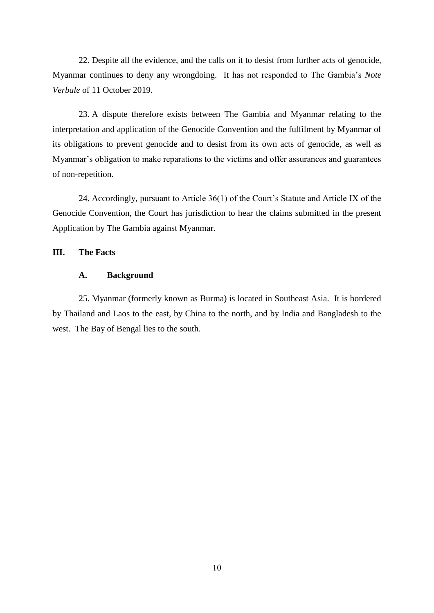22. Despite all the evidence, and the calls on it to desist from further acts of genocide, Myanmar continues to deny any wrongdoing. It has not responded to The Gambia's *Note Verbale* of 11 October 2019.

23. A dispute therefore exists between The Gambia and Myanmar relating to the interpretation and application of the Genocide Convention and the fulfilment by Myanmar of its obligations to prevent genocide and to desist from its own acts of genocide, as well as Myanmar's obligation to make reparations to the victims and offer assurances and guarantees of non-repetition.

24. Accordingly, pursuant to Article 36(1) of the Court's Statute and Article IX of the Genocide Convention, the Court has jurisdiction to hear the claims submitted in the present Application by The Gambia against Myanmar.

# **III. The Facts**

# **A. Background**

25. Myanmar (formerly known as Burma) is located in Southeast Asia. It is bordered by Thailand and Laos to the east, by China to the north, and by India and Bangladesh to the west. The Bay of Bengal lies to the south.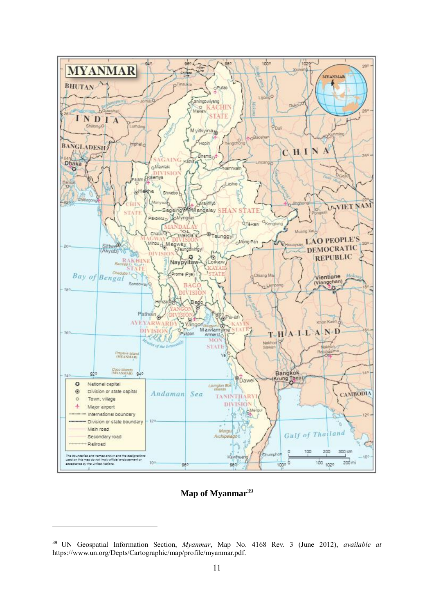

# Map of Myanmar<sup>39</sup>

<sup>39</sup> UN Geospatial Information Section, *Myanmar*, Map No. 4168 Rev. 3 (June 2012), *available at* https://www.un.org/Depts/Cartographic/map/profile/myanmar.pdf.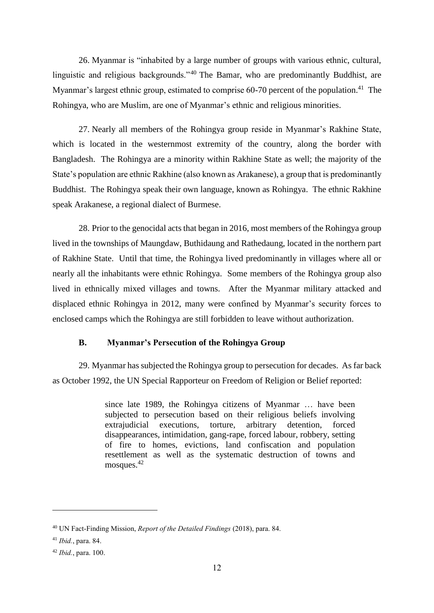26. Myanmar is "inhabited by a large number of groups with various ethnic, cultural, linguistic and religious backgrounds."<sup>40</sup> The Bamar, who are predominantly Buddhist, are Myanmar's largest ethnic group, estimated to comprise 60-70 percent of the population.<sup>41</sup> The Rohingya, who are Muslim, are one of Myanmar's ethnic and religious minorities.

27. Nearly all members of the Rohingya group reside in Myanmar's Rakhine State, which is located in the westernmost extremity of the country, along the border with Bangladesh. The Rohingya are a minority within Rakhine State as well; the majority of the State's population are ethnic Rakhine (also known as Arakanese), a group that is predominantly Buddhist. The Rohingya speak their own language, known as Rohingya. The ethnic Rakhine speak Arakanese, a regional dialect of Burmese.

28. Prior to the genocidal acts that began in 2016, most members of the Rohingya group lived in the townships of Maungdaw, Buthidaung and Rathedaung, located in the northern part of Rakhine State. Until that time, the Rohingya lived predominantly in villages where all or nearly all the inhabitants were ethnic Rohingya. Some members of the Rohingya group also lived in ethnically mixed villages and towns. After the Myanmar military attacked and displaced ethnic Rohingya in 2012, many were confined by Myanmar's security forces to enclosed camps which the Rohingya are still forbidden to leave without authorization.

# **B. Myanmar's Persecution of the Rohingya Group**

29. Myanmar has subjected the Rohingya group to persecution for decades. As far back as October 1992, the UN Special Rapporteur on Freedom of Religion or Belief reported:

> since late 1989, the Rohingya citizens of Myanmar … have been subjected to persecution based on their religious beliefs involving extrajudicial executions, torture, arbitrary detention, forced disappearances, intimidation, gang-rape, forced labour, robbery, setting of fire to homes, evictions, land confiscation and population resettlement as well as the systematic destruction of towns and mosques.<sup>42</sup>

<sup>40</sup> UN Fact-Finding Mission, *Report of the Detailed Findings* (2018), para. 84.

<sup>41</sup> *Ibid.*, para. 84.

<sup>42</sup> *Ibid.*, para. 100.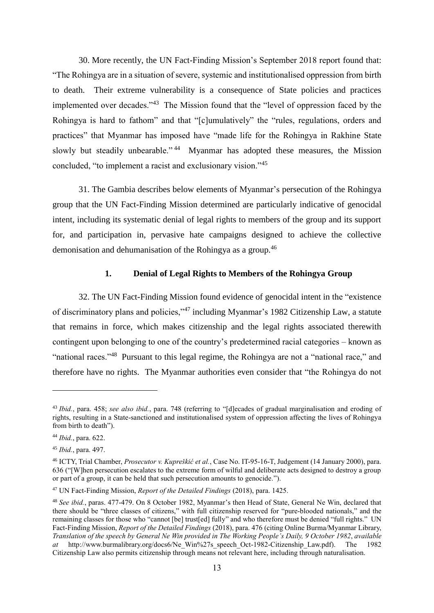30. More recently, the UN Fact-Finding Mission's September 2018 report found that: "The Rohingya are in a situation of severe, systemic and institutionalised oppression from birth to death. Their extreme vulnerability is a consequence of State policies and practices implemented over decades."<sup>43</sup> The Mission found that the "level of oppression faced by the Rohingya is hard to fathom" and that "[c]umulatively" the "rules, regulations, orders and practices" that Myanmar has imposed have "made life for the Rohingya in Rakhine State slowly but steadily unbearable."<sup>44</sup> Myanmar has adopted these measures, the Mission concluded, "to implement a racist and exclusionary vision."<sup>45</sup>

31. The Gambia describes below elements of Myanmar's persecution of the Rohingya group that the UN Fact-Finding Mission determined are particularly indicative of genocidal intent, including its systematic denial of legal rights to members of the group and its support for, and participation in, pervasive hate campaigns designed to achieve the collective demonisation and dehumanisation of the Rohingya as a group.<sup>46</sup>

#### **1. Denial of Legal Rights to Members of the Rohingya Group**

32. The UN Fact-Finding Mission found evidence of genocidal intent in the "existence of discriminatory plans and policies,"<sup>47</sup> including Myanmar's 1982 Citizenship Law, a statute that remains in force, which makes citizenship and the legal rights associated therewith contingent upon belonging to one of the country's predetermined racial categories – known as "national races."<sup>48</sup> Pursuant to this legal regime, the Rohingya are not a "national race," and therefore have no rights. The Myanmar authorities even consider that "the Rohingya do not

<sup>43</sup> *Ibid.*, para. 458; *see also ibid.*, para. 748 (referring to "[d]ecades of gradual marginalisation and eroding of rights, resulting in a State-sanctioned and institutionalised system of oppression affecting the lives of Rohingya from birth to death").

<sup>44</sup> *Ibid.*, para. 622.

<sup>45</sup> *Ibid.*, para. 497.

<sup>46</sup> ICTY, Trial Chamber, *Prosecutor v. Kupreškić et al.*, Case No. IT-95-16-T, Judgement (14 January 2000), para. 636 ("[W]hen persecution escalates to the extreme form of wilful and deliberate acts designed to destroy a group or part of a group, it can be held that such persecution amounts to genocide.").

<sup>47</sup> UN Fact-Finding Mission, *Report of the Detailed Findings* (2018), para. 1425.

<sup>48</sup> *See ibid.*, paras. 477-479. On 8 October 1982, Myanmar's then Head of State, General Ne Win, declared that there should be "three classes of citizens," with full citizenship reserved for "pure-blooded nationals," and the remaining classes for those who "cannot [be] trust[ed] fully" and who therefore must be denied "full rights." UN Fact-Finding Mission, *Report of the Detailed Findings* (2018), para. 476 (citing Online Burma/Myanmar Library, *Translation of the speech by General Ne Win provided in The Working People's Daily, 9 October 1982, available at* http://www.burmalibrary.org/docs6/Ne Win%27s speech Oct-1982-Citizenship Law.pdf). The 1982 *at* http://www.burmalibrary.org/docs6/Ne\_Win%27s\_speech\_Oct-1982-Citizenship\_Law.pdf). The 1982 Citizenship Law also permits citizenship through means not relevant here, including through naturalisation.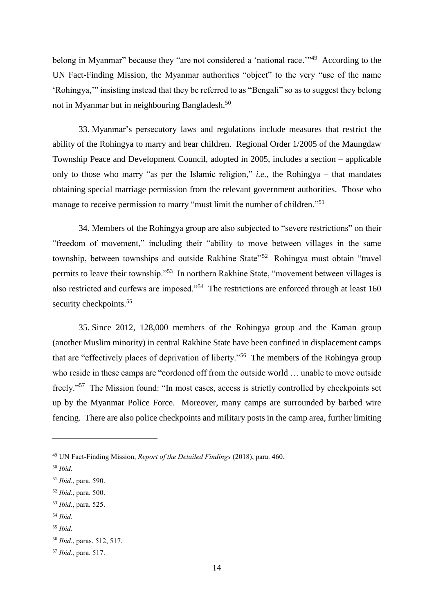belong in Myanmar" because they "are not considered a 'national race."<sup>49</sup> According to the UN Fact-Finding Mission, the Myanmar authorities "object" to the very "use of the name 'Rohingya,'" insisting instead that they be referred to as "Bengali" so as to suggest they belong not in Myanmar but in neighbouring Bangladesh.<sup>50</sup>

33. Myanmar's persecutory laws and regulations include measures that restrict the ability of the Rohingya to marry and bear children. Regional Order 1/2005 of the Maungdaw Township Peace and Development Council, adopted in 2005, includes a section – applicable only to those who marry "as per the Islamic religion," *i.e.*, the Rohingya – that mandates obtaining special marriage permission from the relevant government authorities. Those who manage to receive permission to marry "must limit the number of children."<sup>51</sup>

34. Members of the Rohingya group are also subjected to "severe restrictions" on their "freedom of movement," including their "ability to move between villages in the same township, between townships and outside Rakhine State<sup>552</sup> Rohingya must obtain "travel permits to leave their township."<sup>53</sup> In northern Rakhine State, "movement between villages is also restricted and curfews are imposed."<sup>54</sup> The restrictions are enforced through at least 160 security checkpoints.<sup>55</sup>

35. Since 2012, 128,000 members of the Rohingya group and the Kaman group (another Muslim minority) in central Rakhine State have been confined in displacement camps that are "effectively places of deprivation of liberty."<sup>56</sup> The members of the Rohingya group who reside in these camps are "cordoned off from the outside world … unable to move outside freely."<sup>57</sup> The Mission found: "In most cases, access is strictly controlled by checkpoints set up by the Myanmar Police Force. Moreover, many camps are surrounded by barbed wire fencing. There are also police checkpoints and military posts in the camp area, further limiting

<sup>49</sup> UN Fact-Finding Mission, *Report of the Detailed Findings* (2018), para. 460.

<sup>50</sup> *Ibid*.

<sup>51</sup> *Ibid.*, para. 590.

<sup>52</sup> *Ibid.*, para. 500.

<sup>53</sup> *Ibid.*, para. 525.

<sup>54</sup> *Ibid.*

<sup>55</sup> *Ibid.*

<sup>56</sup> *Ibid.*, paras. 512, 517.

<sup>57</sup> *Ibid.*, para. 517.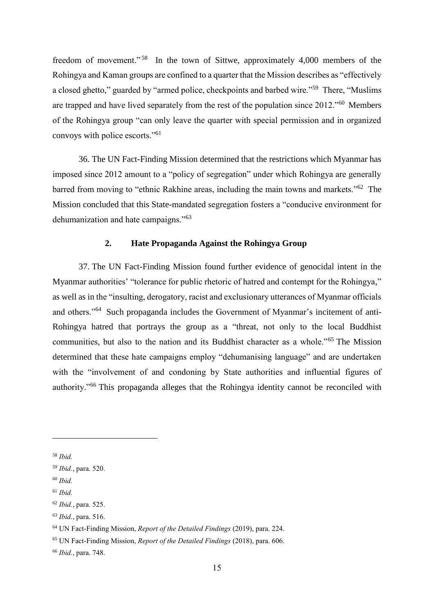freedom of movement."<sup>58</sup> In the town of Sittwe, approximately 4,000 members of the Rohingya and Kaman groups are confined to a quarter that the Mission describes as "effectively a closed ghetto," guarded by "armed police, checkpoints and barbed wire."<sup>59</sup> There, "Muslims are trapped and have lived separately from the rest of the population since 2012."<sup>60</sup> Members of the Rohingya group "can only leave the quarter with special permission and in organized convoys with police escorts."<sup>61</sup>

36. The UN Fact-Finding Mission determined that the restrictions which Myanmar has imposed since 2012 amount to a "policy of segregation" under which Rohingya are generally barred from moving to "ethnic Rakhine areas, including the main towns and markets."<sup>62</sup> The Mission concluded that this State-mandated segregation fosters a "conducive environment for dehumanization and hate campaigns."<sup>63</sup>

# **2. Hate Propaganda Against the Rohingya Group**

37. The UN Fact-Finding Mission found further evidence of genocidal intent in the Myanmar authorities' "tolerance for public rhetoric of hatred and contempt for the Rohingya," as well as in the "insulting, derogatory, racist and exclusionary utterances of Myanmar officials and others."<sup>64</sup> Such propaganda includes the Government of Myanmar's incitement of anti-Rohingya hatred that portrays the group as a "threat, not only to the local Buddhist communities, but also to the nation and its Buddhist character as a whole."<sup>65</sup> The Mission determined that these hate campaigns employ "dehumanising language" and are undertaken with the "involvement of and condoning by State authorities and influential figures of authority."<sup>66</sup> This propaganda alleges that the Rohingya identity cannot be reconciled with

<sup>58</sup> *Ibid.*

<sup>59</sup> *Ibid.*, para. 520.

<sup>60</sup> *Ibid.*

<sup>61</sup> *Ibid.*

<sup>62</sup> *Ibid.*, para. 525.

<sup>63</sup> *Ibid.*, para. 516.

<sup>64</sup> UN Fact-Finding Mission, *Report of the Detailed Findings* (2019), para. 224.

<sup>65</sup> UN Fact-Finding Mission, *Report of the Detailed Findings* (2018), para. 606.

<sup>66</sup> *Ibid.*, para. 748.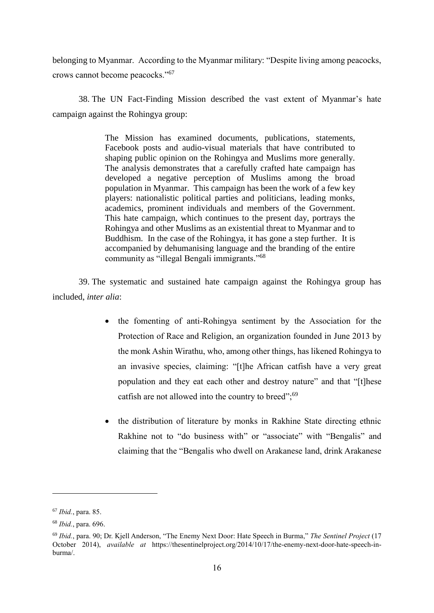belonging to Myanmar. According to the Myanmar military: "Despite living among peacocks, crows cannot become peacocks."<sup>67</sup>

38. The UN Fact-Finding Mission described the vast extent of Myanmar's hate campaign against the Rohingya group:

> The Mission has examined documents, publications, statements, Facebook posts and audio-visual materials that have contributed to shaping public opinion on the Rohingya and Muslims more generally. The analysis demonstrates that a carefully crafted hate campaign has developed a negative perception of Muslims among the broad population in Myanmar. This campaign has been the work of a few key players: nationalistic political parties and politicians, leading monks, academics, prominent individuals and members of the Government. This hate campaign, which continues to the present day, portrays the Rohingya and other Muslims as an existential threat to Myanmar and to Buddhism. In the case of the Rohingya, it has gone a step further. It is accompanied by dehumanising language and the branding of the entire community as "illegal Bengali immigrants."<sup>68</sup>

39. The systematic and sustained hate campaign against the Rohingya group has included, *inter alia*:

- the fomenting of anti-Rohingya sentiment by the Association for the Protection of Race and Religion, an organization founded in June 2013 by the monk Ashin Wirathu, who, among other things, has likened Rohingya to an invasive species, claiming: "[t]he African catfish have a very great population and they eat each other and destroy nature" and that "[t]hese catfish are not allowed into the country to breed";<sup>69</sup>
- the distribution of literature by monks in Rakhine State directing ethnic Rakhine not to "do business with" or "associate" with "Bengalis" and claiming that the "Bengalis who dwell on Arakanese land, drink Arakanese

<sup>67</sup> *Ibid.*, para. 85.

<sup>68</sup> *Ibid.*, para. 696.

<sup>69</sup> *Ibid.*, para. 90; Dr. Kjell Anderson, "The Enemy Next Door: Hate Speech in Burma," *The Sentinel Project* (17 October 2014), *available at* https://thesentinelproject.org/2014/10/17/the-enemy-next-door-hate-speech-inburma/.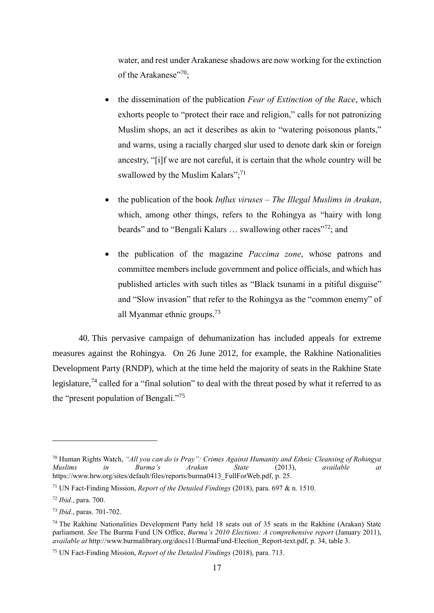water, and rest under Arakanese shadows are now working for the extinction of the Arakanese"70;

- the dissemination of the publication *Fear of Extinction of the Race*, which exhorts people to "protect their race and religion," calls for not patronizing Muslim shops, an act it describes as akin to "watering poisonous plants," and warns, using a racially charged slur used to denote dark skin or foreign ancestry, "[i]f we are not careful, it is certain that the whole country will be swallowed by the Muslim Kalars"; $^{71}$
- the publication of the book *Influx viruses – The Illegal Muslims in Arakan*, which, among other things, refers to the Rohingya as "hairy with long beards" and to "Bengali Kalars ... swallowing other races"<sup>72</sup>; and
- the publication of the magazine *Paccima zone*, whose patrons and committee members include government and police officials, and which has published articles with such titles as "Black tsunami in a pitiful disguise" and "Slow invasion" that refer to the Rohingya as the "common enemy" of all Myanmar ethnic groups.<sup>73</sup>

40. This pervasive campaign of dehumanization has included appeals for extreme measures against the Rohingya. On 26 June 2012, for example, the Rakhine Nationalities Development Party (RNDP), which at the time held the majority of seats in the Rakhine State legislature,<sup>74</sup> called for a "final solution" to deal with the threat posed by what it referred to as the "present population of Bengali."<sup>75</sup>

<sup>70</sup> Human Rights Watch, *"All you can do is Pray": Crimes Against Humanity and Ethnic Cleansing of Rohingya Muslims in Burma's Arakan State* (2013), *available at* https://www.hrw.org/sites/default/files/reports/burma0413\_FullForWeb.pdf, p. 25.

<sup>71</sup> UN Fact-Finding Mission, *Report of the Detailed Findings* (2018), para. 697 & n. 1510.

<sup>72</sup> *Ibid.*, para. 700.

<sup>73</sup> *Ibid.*, paras. 701-702.

<sup>74</sup> The Rakhine Nationalities Development Party held 18 seats out of 35 seats in the Rakhine (Arakan) State parliament. *See* The Burma Fund UN Office, *Burma's 2010 Elections: A comprehensive report* (January 2011), *available at* http://www.burmalibrary.org/docs11/BurmaFund-Election\_Report-text.pdf, p. 34, table 3.

<sup>75</sup> UN Fact-Finding Mission, *Report of the Detailed Findings* (2018), para. 713.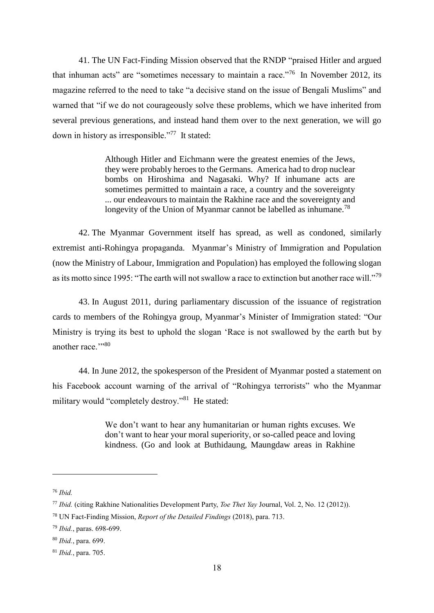41. The UN Fact-Finding Mission observed that the RNDP "praised Hitler and argued that inhuman acts" are "sometimes necessary to maintain a race."<sup>76</sup> In November 2012, its magazine referred to the need to take "a decisive stand on the issue of Bengali Muslims" and warned that "if we do not courageously solve these problems, which we have inherited from several previous generations, and instead hand them over to the next generation, we will go down in history as irresponsible."<sup>77</sup> It stated:

> Although Hitler and Eichmann were the greatest enemies of the Jews, they were probably heroes to the Germans. America had to drop nuclear bombs on Hiroshima and Nagasaki. Why? If inhumane acts are sometimes permitted to maintain a race, a country and the sovereignty ... our endeavours to maintain the Rakhine race and the sovereignty and longevity of the Union of Myanmar cannot be labelled as inhumane.<sup>78</sup>

42. The Myanmar Government itself has spread, as well as condoned, similarly extremist anti-Rohingya propaganda. Myanmar's Ministry of Immigration and Population (now the Ministry of Labour, Immigration and Population) has employed the following slogan as its motto since 1995: "The earth will not swallow a race to extinction but another race will."<sup>79</sup>

43. In August 2011, during parliamentary discussion of the issuance of registration cards to members of the Rohingya group, Myanmar's Minister of Immigration stated: "Our Ministry is trying its best to uphold the slogan 'Race is not swallowed by the earth but by another race."<sup>80</sup>

44. In June 2012, the spokesperson of the President of Myanmar posted a statement on his Facebook account warning of the arrival of "Rohingya terrorists" who the Myanmar military would "completely destroy."<sup>81</sup> He stated:

> We don't want to hear any humanitarian or human rights excuses. We don't want to hear your moral superiority, or so-called peace and loving kindness. (Go and look at Buthidaung, Maungdaw areas in Rakhine

<sup>76</sup> *Ibid.*

<sup>77</sup> *Ibid.* (citing Rakhine Nationalities Development Party, *Toe Thet Yay* Journal, Vol. 2, No. 12 (2012)).

<sup>78</sup> UN Fact-Finding Mission, *Report of the Detailed Findings* (2018), para. 713.

<sup>79</sup> *Ibid.*, paras. 698-699.

<sup>80</sup> *Ibid.*, para. 699.

<sup>81</sup> *Ibid.*, para. 705.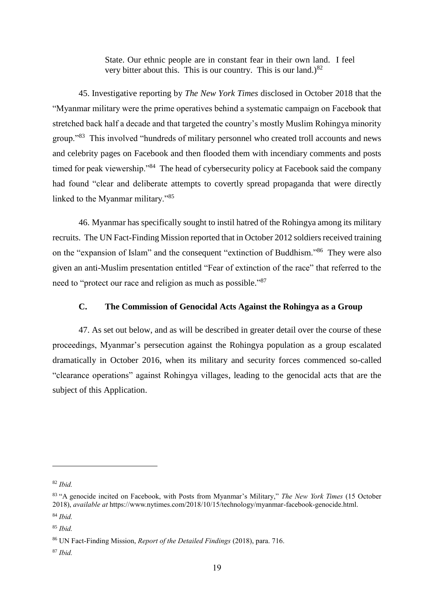State. Our ethnic people are in constant fear in their own land. I feel very bitter about this. This is our country. This is our land.) $82$ 

45. Investigative reporting by *The New York Times* disclosed in October 2018 that the "Myanmar military were the prime operatives behind a systematic campaign on Facebook that stretched back half a decade and that targeted the country's mostly Muslim Rohingya minority group."<sup>83</sup> This involved "hundreds of military personnel who created troll accounts and news and celebrity pages on Facebook and then flooded them with incendiary comments and posts timed for peak viewership."<sup>84</sup> The head of cybersecurity policy at Facebook said the company had found "clear and deliberate attempts to covertly spread propaganda that were directly linked to the Myanmar military."<sup>85</sup>

46. Myanmar has specifically sought to instil hatred of the Rohingya among its military recruits. The UN Fact-Finding Mission reported that in October 2012 soldiers received training on the "expansion of Islam" and the consequent "extinction of Buddhism."<sup>86</sup> They were also given an anti-Muslim presentation entitled "Fear of extinction of the race" that referred to the need to "protect our race and religion as much as possible."<sup>87</sup>

# **C. The Commission of Genocidal Acts Against the Rohingya as a Group**

47. As set out below, and as will be described in greater detail over the course of these proceedings, Myanmar's persecution against the Rohingya population as a group escalated dramatically in October 2016, when its military and security forces commenced so-called "clearance operations" against Rohingya villages, leading to the genocidal acts that are the subject of this Application.

<sup>82</sup> *Ibid.*

<sup>83</sup> "A genocide incited on Facebook, with Posts from Myanmar's Military," *The New York Times* (15 October 2018), *available at* https://www.nytimes.com/2018/10/15/technology/myanmar-facebook-genocide.html.

<sup>84</sup> *Ibid.*

<sup>85</sup> *Ibid.*

<sup>86</sup> UN Fact-Finding Mission, *Report of the Detailed Findings* (2018), para. 716.

<sup>87</sup> *Ibid.*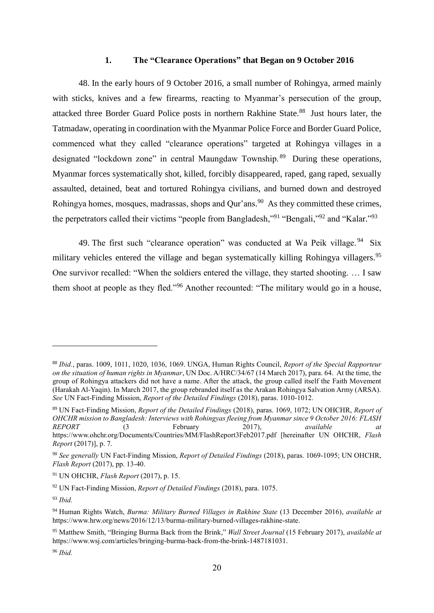#### **1. The "Clearance Operations" that Began on 9 October 2016**

48. In the early hours of 9 October 2016, a small number of Rohingya, armed mainly with sticks, knives and a few firearms, reacting to Myanmar's persecution of the group, attacked three Border Guard Police posts in northern Rakhine State.<sup>88</sup> Just hours later, the Tatmadaw, operating in coordination with the Myanmar Police Force and Border Guard Police, commenced what they called "clearance operations" targeted at Rohingya villages in a designated "lockdown zone" in central Maungdaw Township.<sup>89</sup> During these operations, Myanmar forces systematically shot, killed, forcibly disappeared, raped, gang raped, sexually assaulted, detained, beat and tortured Rohingya civilians, and burned down and destroyed Rohingya homes, mosques, madrassas, shops and Qur'ans.<sup>90</sup> As they committed these crimes, the perpetrators called their victims "people from Bangladesh,"<sup>91</sup> "Bengali,"<sup>92</sup> and "Kalar."<sup>93</sup>

49. The first such "clearance operation" was conducted at Wa Peik village.<sup>94</sup> Six military vehicles entered the village and began systematically killing Rohingya villagers.<sup>95</sup> One survivor recalled: "When the soldiers entered the village, they started shooting. … I saw them shoot at people as they fled."<sup>96</sup> Another recounted: "The military would go in a house,

1

<sup>96</sup> *Ibid.*

<sup>88</sup> *Ibid.*, paras. 1009, 1011, 1020, 1036, 1069. UNGA, Human Rights Council, *Report of the Special Rapporteur on the situation of human rights in Myanmar*, UN Doc. A/HRC/34/67 (14 March 2017), para. 64. At the time, the group of Rohingya attackers did not have a name. After the attack, the group called itself the Faith Movement (Harakah Al-Yaqin). In March 2017, the group rebranded itself as the Arakan Rohingya Salvation Army (ARSA). *See* UN Fact-Finding Mission, *Report of the Detailed Findings* (2018), paras. 1010-1012.

<sup>89</sup> UN Fact-Finding Mission, *Report of the Detailed Findings* (2018), paras. 1069, 1072; UN OHCHR, *Report of OHCHR mission to Bangladesh: Interviews with Rohingyas fleeing from Myanmar since 9 October 2016: FLASH REPORT* (3 February 2017), *available at* https://www.ohchr.org/Documents/Countries/MM/FlashReport3Feb2017.pdf [hereinafter UN OHCHR, *Flash Report* (2017)], p. 7.

<sup>90</sup> *See generally* UN Fact-Finding Mission, *Report of Detailed Findings* (2018), paras. 1069-1095; UN OHCHR, *Flash Report* (2017), pp. 13-40.

<sup>91</sup> UN OHCHR, *Flash Report* (2017), p. 15.

<sup>92</sup> UN Fact-Finding Mission, *Report of Detailed Findings* (2018), para. 1075.

<sup>93</sup> *Ibid.*

<sup>94</sup> Human Rights Watch, *Burma: Military Burned Villages in Rakhine State* (13 December 2016), *available at* https://www.hrw.org/news/2016/12/13/burma-military-burned-villages-rakhine-state.

<sup>95</sup> Matthew Smith, "Bringing Burma Back from the Brink," *Wall Street Journal* (15 February 2017), *available at* https://www.wsj.com/articles/bringing-burma-back-from-the-brink-1487181031.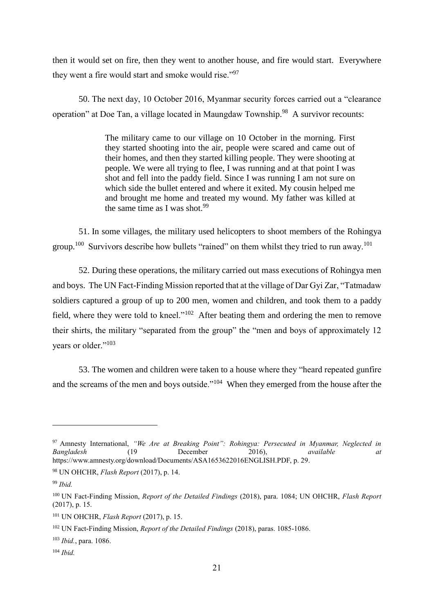then it would set on fire, then they went to another house, and fire would start. Everywhere they went a fire would start and smoke would rise."<sup>97</sup>

50. The next day, 10 October 2016, Myanmar security forces carried out a "clearance operation" at Doe Tan, a village located in Maungdaw Township.<sup>98</sup> A survivor recounts:

> The military came to our village on 10 October in the morning. First they started shooting into the air, people were scared and came out of their homes, and then they started killing people. They were shooting at people. We were all trying to flee, I was running and at that point I was shot and fell into the paddy field. Since I was running I am not sure on which side the bullet entered and where it exited. My cousin helped me and brought me home and treated my wound. My father was killed at the same time as I was shot. $99$

51. In some villages, the military used helicopters to shoot members of the Rohingya group.<sup>100</sup> Survivors describe how bullets "rained" on them whilst they tried to run away.<sup>101</sup>

52. During these operations, the military carried out mass executions of Rohingya men and boys. The UN Fact-Finding Mission reported that at the village of Dar Gyi Zar, "Tatmadaw soldiers captured a group of up to 200 men, women and children, and took them to a paddy field, where they were told to kneel." $102$  After beating them and ordering the men to remove their shirts, the military "separated from the group" the "men and boys of approximately 12 years or older."<sup>103</sup>

53. The women and children were taken to a house where they "heard repeated gunfire and the screams of the men and boys outside."<sup>104</sup> When they emerged from the house after the

<sup>97</sup> Amnesty International, *"We Are at Breaking Point": Rohingya: Persecuted in Myanmar, Neglected in Bangladesh* (19 December 2016), *available at* https://www.amnesty.org/download/Documents/ASA1653622016ENGLISH.PDF, p. 29.

<sup>98</sup> UN OHCHR, *Flash Report* (2017), p. 14.

<sup>99</sup> *Ibid.*

<sup>100</sup> UN Fact-Finding Mission, *Report of the Detailed Findings* (2018), para. 1084; UN OHCHR, *Flash Report* (2017), p. 15.

<sup>101</sup> UN OHCHR, *Flash Report* (2017), p. 15.

<sup>102</sup> UN Fact-Finding Mission, *Report of the Detailed Findings* (2018), paras. 1085-1086.

<sup>103</sup> *Ibid.*, para. 1086.

<sup>104</sup> *Ibid.*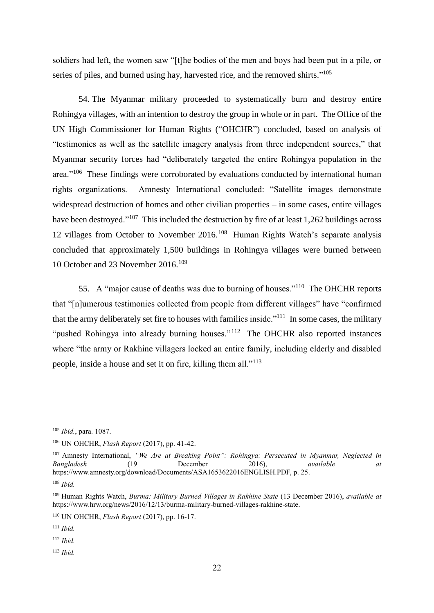soldiers had left, the women saw "[t]he bodies of the men and boys had been put in a pile, or series of piles, and burned using hay, harvested rice, and the removed shirts."<sup>105</sup>

54. The Myanmar military proceeded to systematically burn and destroy entire Rohingya villages, with an intention to destroy the group in whole or in part. The Office of the UN High Commissioner for Human Rights ("OHCHR") concluded, based on analysis of "testimonies as well as the satellite imagery analysis from three independent sources," that Myanmar security forces had "deliberately targeted the entire Rohingya population in the area."<sup>106</sup> These findings were corroborated by evaluations conducted by international human rights organizations. Amnesty International concluded: "Satellite images demonstrate widespread destruction of homes and other civilian properties – in some cases, entire villages have been destroyed."<sup>107</sup> This included the destruction by fire of at least 1,262 buildings across 12 villages from October to November 2016.<sup>108</sup> Human Rights Watch's separate analysis concluded that approximately 1,500 buildings in Rohingya villages were burned between 10 October and 23 November 2016.<sup>109</sup>

55. A "major cause of deaths was due to burning of houses."<sup>110</sup> The OHCHR reports that "[n]umerous testimonies collected from people from different villages" have "confirmed that the army deliberately set fire to houses with families inside.<sup> $111$ </sup> In some cases, the military "pushed Rohingya into already burning houses."<sup>112</sup> The OHCHR also reported instances where "the army or Rakhine villagers locked an entire family, including elderly and disabled people, inside a house and set it on fire, killing them all."<sup>113</sup>

1

<sup>112</sup> *Ibid.*

<sup>113</sup> *Ibid.*

<sup>105</sup> *Ibid.*, para. 1087.

<sup>106</sup> UN OHCHR, *Flash Report* (2017), pp. 41-42.

<sup>&</sup>lt;sup>107</sup> Amnesty International, "We Are at Breaking Point": Rohingya: Persecuted in Myanmar, Neglected in *Bangladesh* (19 December 2016), *available at* https://www.amnesty.org/download/Documents/ASA1653622016ENGLISH.PDF, p. 25.

<sup>108</sup> *Ibid.*

<sup>109</sup> Human Rights Watch, *Burma: Military Burned Villages in Rakhine State* (13 December 2016), *available at* https://www.hrw.org/news/2016/12/13/burma-military-burned-villages-rakhine-state.

<sup>110</sup> UN OHCHR, *Flash Report* (2017), pp. 16-17.

<sup>111</sup> *Ibid.*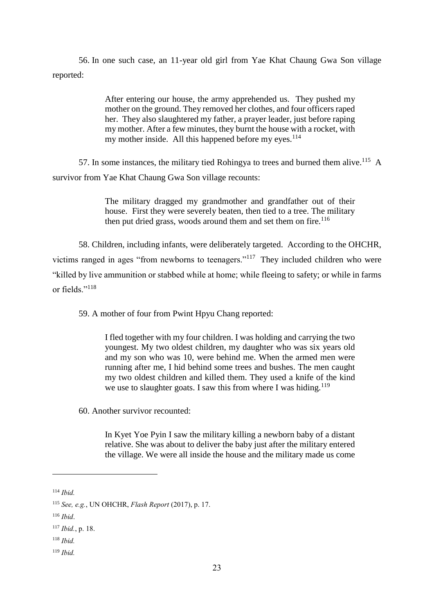56. In one such case, an 11-year old girl from Yae Khat Chaung Gwa Son village reported:

> After entering our house, the army apprehended us. They pushed my mother on the ground. They removed her clothes, and four officers raped her. They also slaughtered my father, a prayer leader, just before raping my mother. After a few minutes, they burnt the house with a rocket, with my mother inside. All this happened before my eyes. $114$

57. In some instances, the military tied Rohingya to trees and burned them alive.<sup>115</sup> A survivor from Yae Khat Chaung Gwa Son village recounts:

> The military dragged my grandmother and grandfather out of their house. First they were severely beaten, then tied to a tree. The military then put dried grass, woods around them and set them on fire. $116$

58. Children, including infants, were deliberately targeted. According to the OHCHR, victims ranged in ages "from newborns to teenagers."<sup>117</sup> They included children who were "killed by live ammunition or stabbed while at home; while fleeing to safety; or while in farms or fields."<sup>118</sup>

59. A mother of four from Pwint Hpyu Chang reported:

I fled together with my four children. I was holding and carrying the two youngest. My two oldest children, my daughter who was six years old and my son who was 10, were behind me. When the armed men were running after me, I hid behind some trees and bushes. The men caught my two oldest children and killed them. They used a knife of the kind we use to slaughter goats. I saw this from where I was hiding.<sup>119</sup>

60. Another survivor recounted:

In Kyet Yoe Pyin I saw the military killing a newborn baby of a distant relative. She was about to deliver the baby just after the military entered the village. We were all inside the house and the military made us come

1

<sup>119</sup> *Ibid.*

<sup>114</sup> *Ibid.*

<sup>115</sup> *See, e.g.*, UN OHCHR, *Flash Report* (2017), p. 17.

<sup>116</sup> *Ibid*.

<sup>117</sup> *Ibid.*, p. 18.

<sup>118</sup> *Ibid.*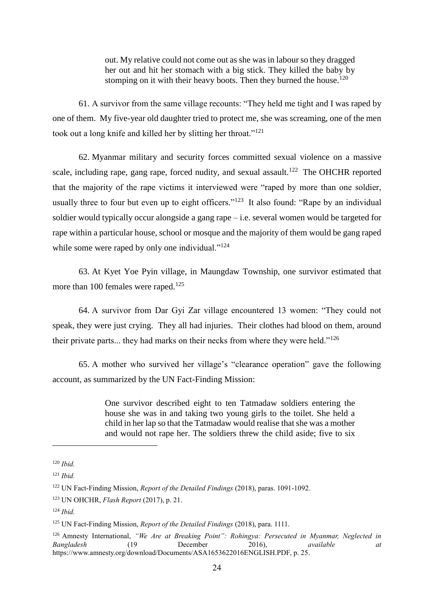out. My relative could not come out as she was in labour so they dragged her out and hit her stomach with a big stick. They killed the baby by stomping on it with their heavy boots. Then they burned the house.<sup>120</sup>

61. A survivor from the same village recounts: "They held me tight and I was raped by one of them. My five-year old daughter tried to protect me, she was screaming, one of the men took out a long knife and killed her by slitting her throat."<sup>121</sup>

62. Myanmar military and security forces committed sexual violence on a massive scale, including rape, gang rape, forced nudity, and sexual assault.<sup>122</sup> The OHCHR reported that the majority of the rape victims it interviewed were "raped by more than one soldier, usually three to four but even up to eight officers."<sup>123</sup> It also found: "Rape by an individual soldier would typically occur alongside a gang rape – i.e. several women would be targeted for rape within a particular house, school or mosque and the majority of them would be gang raped while some were raped by only one individual."<sup>124</sup>

63. At Kyet Yoe Pyin village, in Maungdaw Township, one survivor estimated that more than 100 females were raped.<sup>125</sup>

64. A survivor from Dar Gyi Zar village encountered 13 women: "They could not speak, they were just crying. They all had injuries. Their clothes had blood on them, around their private parts... they had marks on their necks from where they were held."<sup>126</sup>

65. A mother who survived her village's "clearance operation" gave the following account, as summarized by the UN Fact-Finding Mission:

> One survivor described eight to ten Tatmadaw soldiers entering the house she was in and taking two young girls to the toilet. She held a child in her lap so that the Tatmadaw would realise that she was a mother and would not rape her. The soldiers threw the child aside; five to six

<sup>120</sup> *Ibid.*

<sup>121</sup> *Ibid.*

<sup>122</sup> UN Fact-Finding Mission, *Report of the Detailed Findings* (2018), paras. 1091-1092.

<sup>123</sup> UN OHCHR, *Flash Report* (2017), p. 21.

<sup>124</sup> *Ibid.*

<sup>125</sup> UN Fact-Finding Mission, *Report of the Detailed Findings* (2018), para. 1111.

<sup>126</sup> Amnesty International, *"We Are at Breaking Point": Rohingya: Persecuted in Myanmar, Neglected in Bangladesh* (19 December 2016), *available at* https://www.amnesty.org/download/Documents/ASA1653622016ENGLISH.PDF, p. 25.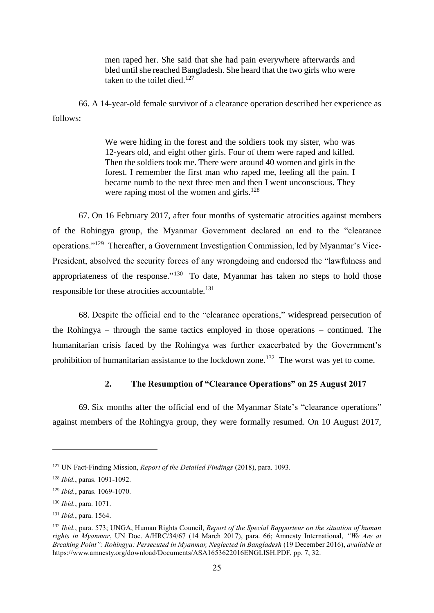men raped her. She said that she had pain everywhere afterwards and bled until she reached Bangladesh. She heard that the two girls who were taken to the toilet died.<sup>127</sup>

66. A 14-year-old female survivor of a clearance operation described her experience as follows:

> We were hiding in the forest and the soldiers took my sister, who was 12-years old, and eight other girls. Four of them were raped and killed. Then the soldiers took me. There were around 40 women and girls in the forest. I remember the first man who raped me, feeling all the pain. I became numb to the next three men and then I went unconscious. They were raping most of the women and girls.<sup>128</sup>

67. On 16 February 2017, after four months of systematic atrocities against members of the Rohingya group, the Myanmar Government declared an end to the "clearance operations."<sup>129</sup> Thereafter, a Government Investigation Commission, led by Myanmar's Vice-President, absolved the security forces of any wrongdoing and endorsed the "lawfulness and appropriateness of the response."<sup>130</sup> To date, Myanmar has taken no steps to hold those responsible for these atrocities accountable.<sup>131</sup>

68. Despite the official end to the "clearance operations," widespread persecution of the Rohingya – through the same tactics employed in those operations – continued. The humanitarian crisis faced by the Rohingya was further exacerbated by the Government's prohibition of humanitarian assistance to the lockdown zone.<sup>132</sup> The worst was yet to come.

# **2. The Resumption of "Clearance Operations" on 25 August 2017**

69. Six months after the official end of the Myanmar State's "clearance operations" against members of the Rohingya group, they were formally resumed. On 10 August 2017,

<sup>127</sup> UN Fact-Finding Mission, *Report of the Detailed Findings* (2018), para. 1093.

<sup>128</sup> *Ibid.*, paras. 1091-1092.

<sup>129</sup> *Ibid.*, paras. 1069-1070.

<sup>130</sup> *Ibid.*, para. 1071.

<sup>131</sup> *Ibid.*, para. 1564.

<sup>132</sup> *Ibid.*, para. 573; UNGA, Human Rights Council, *Report of the Special Rapporteur on the situation of human rights in Myanmar*, UN Doc. A/HRC/34/67 (14 March 2017), para. 66; Amnesty International, *"We Are at Breaking Point": Rohingya: Persecuted in Myanmar, Neglected in Bangladesh* (19 December 2016), *available at* https://www.amnesty.org/download/Documents/ASA1653622016ENGLISH.PDF, pp. 7, 32.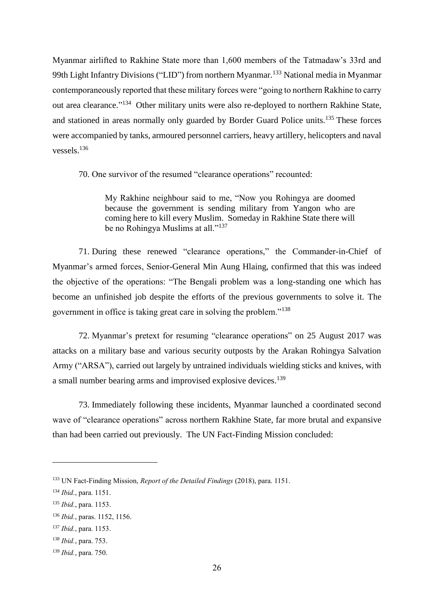Myanmar airlifted to Rakhine State more than 1,600 members of the Tatmadaw's 33rd and 99th Light Infantry Divisions ("LID") from northern Myanmar.<sup>133</sup> National media in Myanmar contemporaneously reported that these military forces were "going to northern Rakhine to carry out area clearance."<sup>134</sup> Other military units were also re-deployed to northern Rakhine State, and stationed in areas normally only guarded by Border Guard Police units.<sup>135</sup> These forces were accompanied by tanks, armoured personnel carriers, heavy artillery, helicopters and naval vessels.<sup>136</sup>

70. One survivor of the resumed "clearance operations" recounted:

My Rakhine neighbour said to me, "Now you Rohingya are doomed because the government is sending military from Yangon who are coming here to kill every Muslim. Someday in Rakhine State there will be no Rohingya Muslims at all."<sup>137</sup>

71. During these renewed "clearance operations," the Commander-in-Chief of Myanmar's armed forces, Senior-General Min Aung Hlaing, confirmed that this was indeed the objective of the operations: "The Bengali problem was a long-standing one which has become an unfinished job despite the efforts of the previous governments to solve it. The government in office is taking great care in solving the problem."<sup>138</sup>

72. Myanmar's pretext for resuming "clearance operations" on 25 August 2017 was attacks on a military base and various security outposts by the Arakan Rohingya Salvation Army ("ARSA"), carried out largely by untrained individuals wielding sticks and knives, with a small number bearing arms and improvised explosive devices.<sup>139</sup>

73. Immediately following these incidents, Myanmar launched a coordinated second wave of "clearance operations" across northern Rakhine State, far more brutal and expansive than had been carried out previously. The UN Fact-Finding Mission concluded:

<sup>133</sup> UN Fact-Finding Mission, *Report of the Detailed Findings* (2018), para. 1151.

<sup>134</sup> *Ibid.*, para. 1151.

<sup>135</sup> *Ibid.*, para. 1153.

<sup>136</sup> *Ibid.*, paras. 1152, 1156.

<sup>137</sup> *Ibid.*, para. 1153.

<sup>138</sup> *Ibid.*, para. 753.

<sup>139</sup> *Ibid.*, para. 750.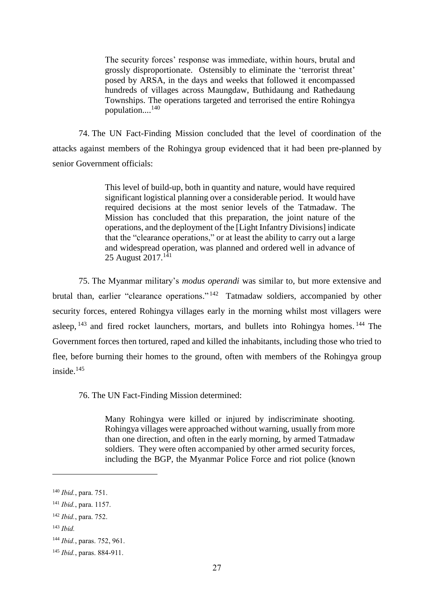The security forces' response was immediate, within hours, brutal and grossly disproportionate. Ostensibly to eliminate the 'terrorist threat' posed by ARSA, in the days and weeks that followed it encompassed hundreds of villages across Maungdaw, Buthidaung and Rathedaung Townships. The operations targeted and terrorised the entire Rohingya population.... 140

74. The UN Fact-Finding Mission concluded that the level of coordination of the attacks against members of the Rohingya group evidenced that it had been pre-planned by senior Government officials:

> This level of build-up, both in quantity and nature, would have required significant logistical planning over a considerable period. It would have required decisions at the most senior levels of the Tatmadaw. The Mission has concluded that this preparation, the joint nature of the operations, and the deployment of the [Light Infantry Divisions] indicate that the "clearance operations," or at least the ability to carry out a large and widespread operation, was planned and ordered well in advance of 25 August 2017.<sup>141</sup>

75. The Myanmar military's *modus operandi* was similar to, but more extensive and brutal than, earlier "clearance operations."<sup>142</sup> Tatmadaw soldiers, accompanied by other security forces, entered Rohingya villages early in the morning whilst most villagers were asleep,  $143$  and fired rocket launchers, mortars, and bullets into Rohingya homes.  $144$  The Government forces then tortured, raped and killed the inhabitants, including those who tried to flee, before burning their homes to the ground, often with members of the Rohingya group inside.<sup>145</sup>

76. The UN Fact-Finding Mission determined:

Many Rohingya were killed or injured by indiscriminate shooting. Rohingya villages were approached without warning, usually from more than one direction, and often in the early morning, by armed Tatmadaw soldiers. They were often accompanied by other armed security forces, including the BGP, the Myanmar Police Force and riot police (known

<sup>140</sup> *Ibid.*, para. 751.

<sup>141</sup> *Ibid.*, para. 1157.

<sup>142</sup> *Ibid.*, para. 752.

<sup>143</sup> *Ibid.*

<sup>144</sup> *Ibid.*, paras. 752, 961.

<sup>145</sup> *Ibid.*, paras. 884-911.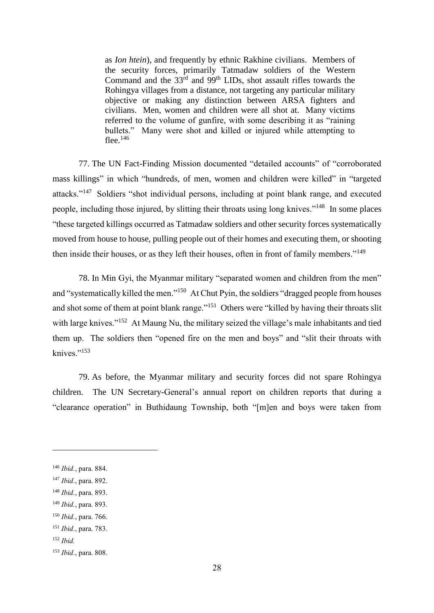as *Ion htein*), and frequently by ethnic Rakhine civilians. Members of the security forces, primarily Tatmadaw soldiers of the Western Command and the  $33<sup>rd</sup>$  and  $99<sup>th</sup>$  LIDs, shot assault rifles towards the Rohingya villages from a distance, not targeting any particular military objective or making any distinction between ARSA fighters and civilians. Men, women and children were all shot at. Many victims referred to the volume of gunfire, with some describing it as "raining bullets." Many were shot and killed or injured while attempting to flee.<sup>146</sup>

77. The UN Fact-Finding Mission documented "detailed accounts" of "corroborated mass killings" in which "hundreds, of men, women and children were killed" in "targeted attacks."<sup>147</sup> Soldiers "shot individual persons, including at point blank range, and executed people, including those injured, by slitting their throats using long knives."<sup>148</sup> In some places "these targeted killings occurred as Tatmadaw soldiers and other security forces systematically moved from house to house, pulling people out of their homes and executing them, or shooting then inside their houses, or as they left their houses, often in front of family members."<sup>149</sup>

78. In Min Gyi, the Myanmar military "separated women and children from the men" and "systematically killed the men."<sup>150</sup> At Chut Pyin, the soldiers "dragged people from houses and shot some of them at point blank range."<sup>151</sup> Others were "killed by having their throats slit with large knives."<sup>152</sup> At Maung Nu, the military seized the village's male inhabitants and tied them up. The soldiers then "opened fire on the men and boys" and "slit their throats with knives."<sup>153</sup>

79. As before, the Myanmar military and security forces did not spare Rohingya children. The UN Secretary-General's annual report on children reports that during a "clearance operation" in Buthidaung Township, both "[m]en and boys were taken from

- <sup>148</sup> *Ibid.*, para. 893.
- <sup>149</sup> *Ibid.*, para. 893. <sup>150</sup> *Ibid.*, para. 766.
- <sup>151</sup> *Ibid.*, para. 783.
- <sup>152</sup> *Ibid.*

<sup>146</sup> *Ibid.*, para. 884.

<sup>147</sup> *Ibid.*, para. 892.

<sup>153</sup> *Ibid.*, para. 808.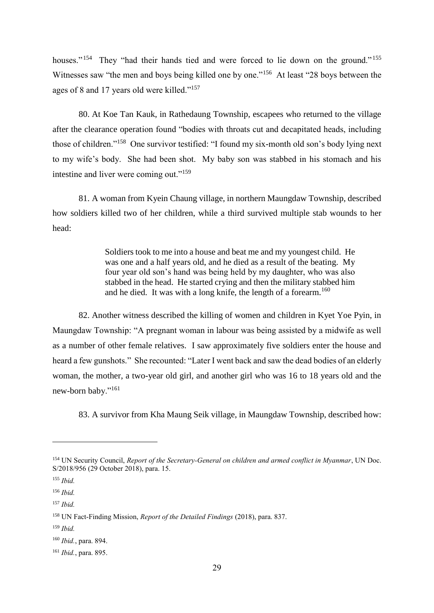houses."<sup>154</sup> They "had their hands tied and were forced to lie down on the ground."<sup>155</sup> Witnesses saw "the men and boys being killed one by one."<sup>156</sup> At least "28 boys between the ages of 8 and 17 years old were killed."<sup>157</sup>

80. At Koe Tan Kauk, in Rathedaung Township, escapees who returned to the village after the clearance operation found "bodies with throats cut and decapitated heads, including those of children."<sup>158</sup> One survivor testified: "I found my six-month old son's body lying next to my wife's body. She had been shot. My baby son was stabbed in his stomach and his intestine and liver were coming out."<sup>159</sup>

81. A woman from Kyein Chaung village, in northern Maungdaw Township, described how soldiers killed two of her children, while a third survived multiple stab wounds to her head:

> Soldiers took to me into a house and beat me and my youngest child. He was one and a half years old, and he died as a result of the beating. My four year old son's hand was being held by my daughter, who was also stabbed in the head. He started crying and then the military stabbed him and he died. It was with a long knife, the length of a forearm.<sup>160</sup>

82. Another witness described the killing of women and children in Kyet Yoe Pyin, in Maungdaw Township: "A pregnant woman in labour was being assisted by a midwife as well as a number of other female relatives. I saw approximately five soldiers enter the house and heard a few gunshots." She recounted: "Later I went back and saw the dead bodies of an elderly woman, the mother, a two-year old girl, and another girl who was 16 to 18 years old and the new-born baby."<sup>161</sup>

83. A survivor from Kha Maung Seik village, in Maungdaw Township, described how:

<sup>154</sup> UN Security Council, *Report of the Secretary-General on children and armed conflict in Myanmar*, UN Doc. S/2018/956 (29 October 2018), para. 15.

<sup>155</sup> *Ibid.*

<sup>156</sup> *Ibid.*

<sup>157</sup> *Ibid.*

<sup>158</sup> UN Fact-Finding Mission, *Report of the Detailed Findings* (2018), para. 837.

<sup>159</sup> *Ibid.*

<sup>160</sup> *Ibid.*, para. 894.

<sup>161</sup> *Ibid.*, para. 895.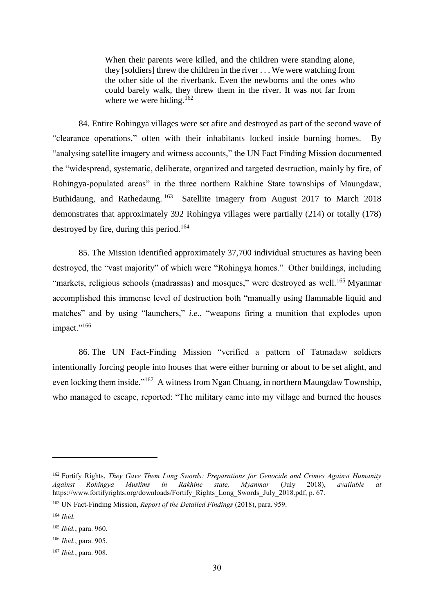When their parents were killed, and the children were standing alone, they [soldiers] threw the children in the river . . . We were watching from the other side of the riverbank. Even the newborns and the ones who could barely walk, they threw them in the river. It was not far from where we were hiding.<sup>162</sup>

84. Entire Rohingya villages were set afire and destroyed as part of the second wave of "clearance operations," often with their inhabitants locked inside burning homes. By "analysing satellite imagery and witness accounts," the UN Fact Finding Mission documented the "widespread, systematic, deliberate, organized and targeted destruction, mainly by fire, of Rohingya-populated areas" in the three northern Rakhine State townships of Maungdaw, Buthidaung, and Rathedaung. 163 Satellite imagery from August 2017 to March 2018 demonstrates that approximately 392 Rohingya villages were partially (214) or totally (178) destroyed by fire, during this period.<sup>164</sup>

85. The Mission identified approximately 37,700 individual structures as having been destroyed, the "vast majority" of which were "Rohingya homes." Other buildings, including "markets, religious schools (madrassas) and mosques," were destroyed as well.<sup>165</sup> Myanmar accomplished this immense level of destruction both "manually using flammable liquid and matches" and by using "launchers," *i.e.*, "weapons firing a munition that explodes upon impact."<sup>166</sup>

86. The UN Fact-Finding Mission "verified a pattern of Tatmadaw soldiers intentionally forcing people into houses that were either burning or about to be set alight, and even locking them inside."<sup>167</sup> A witness from Ngan Chuang, in northern Maungdaw Township, who managed to escape, reported: "The military came into my village and burned the houses

<sup>&</sup>lt;sup>162</sup> Fortify Rights, *They Gave Them Long Swords: Preparations for Genocide and Crimes Against Humanity Against Rohingya Muslims in Rakhine state, Myanmar* (July 2018), *available at* https://www.fortifyrights.org/downloads/Fortify\_Rights\_Long\_Swords\_July\_2018.pdf, p. 67.

<sup>163</sup> UN Fact-Finding Mission, *Report of the Detailed Findings* (2018), para. 959.

<sup>164</sup> *Ibid.*

<sup>165</sup> *Ibid.*, para. 960.

<sup>166</sup> *Ibid.*, para. 905.

<sup>167</sup> *Ibid.*, para. 908.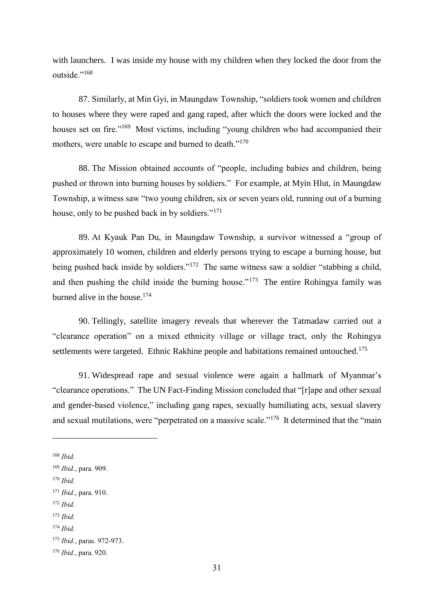with launchers. I was inside my house with my children when they locked the door from the outside."<sup>168</sup>

87. Similarly, at Min Gyi, in Maungdaw Township, "soldiers took women and children to houses where they were raped and gang raped, after which the doors were locked and the houses set on fire."<sup>169</sup> Most victims, including "young children who had accompanied their mothers, were unable to escape and burned to death."<sup>170</sup>

88. The Mission obtained accounts of "people, including babies and children, being pushed or thrown into burning houses by soldiers." For example, at Myin Hlut, in Maungdaw Township, a witness saw "two young children, six or seven years old, running out of a burning house, only to be pushed back in by soldiers."<sup>171</sup>

89. At Kyauk Pan Du, in Maungdaw Township, a survivor witnessed a "group of approximately 10 women, children and elderly persons trying to escape a burning house, but being pushed back inside by soldiers."<sup>172</sup> The same witness saw a soldier "stabbing a child, and then pushing the child inside the burning house."<sup>173</sup> The entire Rohingya family was burned alive in the house.<sup>174</sup>

90. Tellingly, satellite imagery reveals that wherever the Tatmadaw carried out a "clearance operation" on a mixed ethnicity village or village tract, only the Rohingya settlements were targeted. Ethnic Rakhine people and habitations remained untouched.<sup>175</sup>

91. Widespread rape and sexual violence were again a hallmark of Myanmar's "clearance operations."The UN Fact-Finding Mission concluded that "[r]ape and other sexual and gender-based violence," including gang rapes, sexually humiliating acts, sexual slavery and sexual mutilations, were "perpetrated on a massive scale."<sup>176</sup> It determined that the "main

1

<sup>170</sup> *Ibid.*

<sup>172</sup> *Ibid.*

<sup>168</sup> *Ibid.*

<sup>169</sup> *Ibid.*, para. 909.

<sup>171</sup> *Ibid.*, para. 910.

<sup>173</sup> *Ibid.*

<sup>174</sup> *Ibid.*

<sup>175</sup> *Ibid.*, paras. 972-973.

<sup>176</sup> *Ibid.*, para. 920.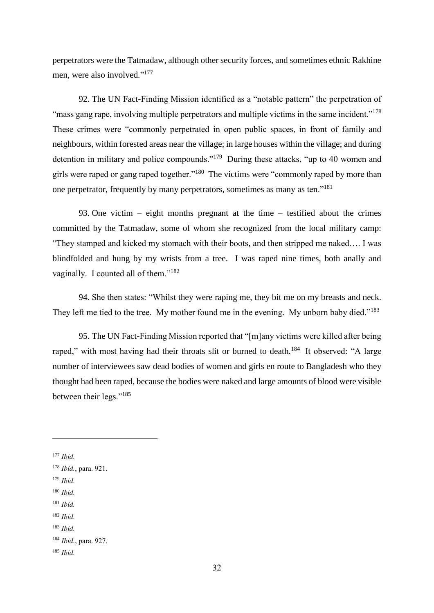perpetrators were the Tatmadaw, although other security forces, and sometimes ethnic Rakhine men, were also involved."<sup>177</sup>

92. The UN Fact-Finding Mission identified as a "notable pattern" the perpetration of "mass gang rape, involving multiple perpetrators and multiple victims in the same incident."<sup>178</sup> These crimes were "commonly perpetrated in open public spaces, in front of family and neighbours, within forested areas near the village; in large houses within the village; and during detention in military and police compounds."<sup>179</sup> During these attacks, "up to 40 women and girls were raped or gang raped together."<sup>180</sup> The victims were "commonly raped by more than one perpetrator, frequently by many perpetrators, sometimes as many as ten."<sup>181</sup>

93. One victim – eight months pregnant at the time – testified about the crimes committed by the Tatmadaw, some of whom she recognized from the local military camp: "They stamped and kicked my stomach with their boots, and then stripped me naked…. I was blindfolded and hung by my wrists from a tree. I was raped nine times, both anally and vaginally. I counted all of them."<sup>182</sup>

94. She then states: "Whilst they were raping me, they bit me on my breasts and neck. They left me tied to the tree. My mother found me in the evening. My unborn baby died."<sup>183</sup>

95. The UN Fact-Finding Mission reported that "[m]any victims were killed after being raped," with most having had their throats slit or burned to death.<sup>184</sup> It observed: "A large number of interviewees saw dead bodies of women and girls en route to Bangladesh who they thought had been raped, because the bodies were naked and large amounts of blood were visible between their legs."<sup>185</sup>

1

- <sup>179</sup> *Ibid.*
- <sup>180</sup> *Ibid.*
- <sup>181</sup> *Ibid.*
- <sup>182</sup> *Ibid.*
- <sup>183</sup> *Ibid.*

<sup>185</sup> *Ibid.*

<sup>177</sup> *Ibid.*

<sup>178</sup> *Ibid.*, para. 921.

<sup>184</sup> *Ibid.*, para. 927.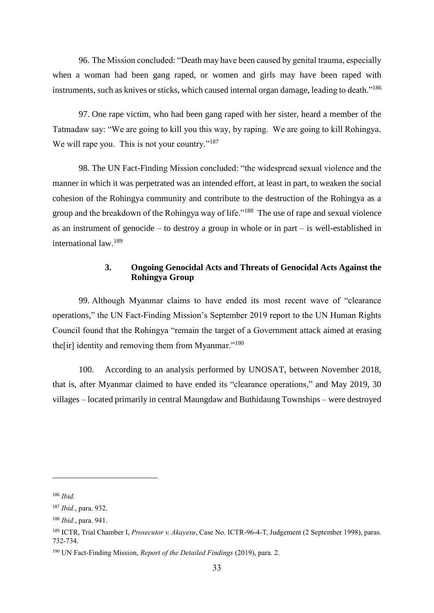96. The Mission concluded: "Death may have been caused by genital trauma, especially when a woman had been gang raped, or women and girls may have been raped with instruments, such as knives or sticks, which caused internal organ damage, leading to death."<sup>186</sup>

97. One rape victim, who had been gang raped with her sister, heard a member of the Tatmadaw say: "We are going to kill you this way, by raping. We are going to kill Rohingya. We will rape you. This is not your country."<sup>187</sup>

98. The UN Fact-Finding Mission concluded: "the widespread sexual violence and the manner in which it was perpetrated was an intended effort, at least in part, to weaken the social cohesion of the Rohingya community and contribute to the destruction of the Rohingya as a group and the breakdown of the Rohingya way of life."<sup>188</sup> The use of rape and sexual violence as an instrument of genocide – to destroy a group in whole or in part – is well-established in international law.<sup>189</sup>

# **3. Ongoing Genocidal Acts and Threats of Genocidal Acts Against the Rohingya Group**

99. Although Myanmar claims to have ended its most recent wave of "clearance operations," the UN Fact-Finding Mission's September 2019 report to the UN Human Rights Council found that the Rohingya "remain the target of a Government attack aimed at erasing the[ir] identity and removing them from Myanmar."<sup>190</sup>

100. According to an analysis performed by UNOSAT, between November 2018, that is, after Myanmar claimed to have ended its "clearance operations," and May 2019, 30 villages – located primarily in central Maungdaw and Buthidaung Townships – were destroyed

<sup>186</sup> *Ibid.*

<sup>187</sup> *Ibid.*, para. 932.

<sup>188</sup> *Ibid.*, para. 941.

<sup>189</sup> ICTR, Trial Chamber I, *Prosecutor v. Akayesu*, Case No. ICTR-96-4-T, Judgement (2 September 1998), paras. 732-734.

<sup>190</sup> UN Fact-Finding Mission, *Report of the Detailed Findings* (2019), para. 2.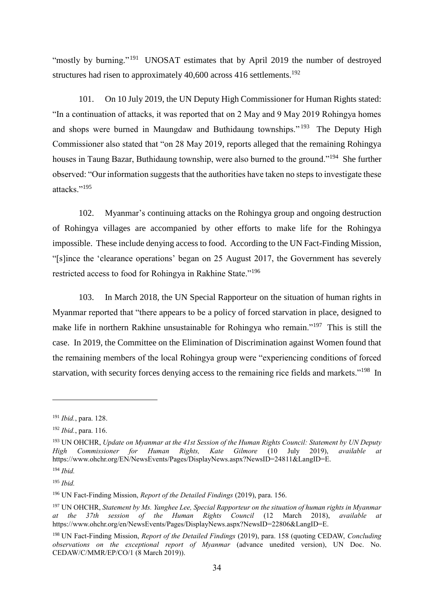"mostly by burning."<sup>191</sup> UNOSAT estimates that by April 2019 the number of destroyed structures had risen to approximately 40,600 across 416 settlements.<sup>192</sup>

101. On 10 July 2019, the UN Deputy High Commissioner for Human Rights stated: "In a continuation of attacks, it was reported that on 2 May and 9 May 2019 Rohingya homes and shops were burned in Maungdaw and Buthidaung townships."<sup>193</sup> The Deputy High Commissioner also stated that "on 28 May 2019, reports alleged that the remaining Rohingya houses in Taung Bazar, Buthidaung township, were also burned to the ground."<sup>194</sup> She further observed: "Our information suggests that the authorities have taken no steps to investigate these attacks."<sup>195</sup>

102. Myanmar's continuing attacks on the Rohingya group and ongoing destruction of Rohingya villages are accompanied by other efforts to make life for the Rohingya impossible. These include denying access to food. According to the UN Fact-Finding Mission, "[s]ince the 'clearance operations' began on 25 August 2017, the Government has severely restricted access to food for Rohingya in Rakhine State."<sup>196</sup>

103. In March 2018, the UN Special Rapporteur on the situation of human rights in Myanmar reported that "there appears to be a policy of forced starvation in place, designed to make life in northern Rakhine unsustainable for Rohingya who remain."<sup>197</sup> This is still the case. In 2019, the Committee on the Elimination of Discrimination against Women found that the remaining members of the local Rohingya group were "experiencing conditions of forced starvation, with security forces denying access to the remaining rice fields and markets."<sup>198</sup> In

<sup>191</sup> *Ibid.*, para. 128.

<sup>192</sup> *Ibid.*, para. 116.

<sup>193</sup> UN OHCHR, *Update on Myanmar at the 41st Session of the Human Rights Council: Statement by UN Deputy High Commissioner for Human Rights, Kate Gilmore* (10 July 2019), *available at* https://www.ohchr.org/EN/NewsEvents/Pages/DisplayNews.aspx?NewsID=24811&LangID=E.

<sup>194</sup> *Ibid.*

<sup>195</sup> *Ibid.*

<sup>196</sup> UN Fact-Finding Mission, *Report of the Detailed Findings* (2019), para. 156.

<sup>197</sup> UN OHCHR, *Statement by Ms. Yanghee Lee, Special Rapporteur on the situation of human rights in Myanmar*  at the 37th session of the Human Rights Council (12 March 2018), *available* https://www.ohchr.org/en/NewsEvents/Pages/DisplayNews.aspx?NewsID=22806&LangID=E.

<sup>198</sup> UN Fact-Finding Mission, *Report of the Detailed Findings* (2019), para. 158 (quoting CEDAW, *Concluding observations on the exceptional report of Myanmar* (advance unedited version), UN Doc. No. CEDAW/C/MMR/EP/CO/1 (8 March 2019)).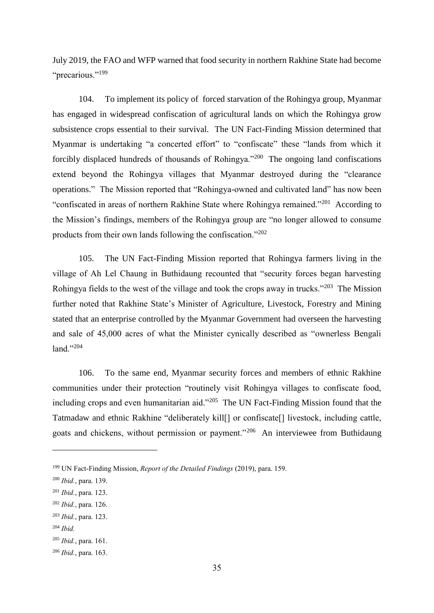July 2019, the FAO and WFP warned that food security in northern Rakhine State had become "precarious."<sup>199</sup>

104. To implement its policy of forced starvation of the Rohingya group, Myanmar has engaged in widespread confiscation of agricultural lands on which the Rohingya grow subsistence crops essential to their survival. The UN Fact-Finding Mission determined that Myanmar is undertaking "a concerted effort" to "confiscate" these "lands from which it forcibly displaced hundreds of thousands of Rohingya."<sup>200</sup> The ongoing land confiscations extend beyond the Rohingya villages that Myanmar destroyed during the "clearance operations." The Mission reported that "Rohingya-owned and cultivated land" has now been "confiscated in areas of northern Rakhine State where Rohingya remained."<sup>201</sup> According to the Mission's findings, members of the Rohingya group are "no longer allowed to consume products from their own lands following the confiscation."<sup>202</sup>

105. The UN Fact-Finding Mission reported that Rohingya farmers living in the village of Ah Lel Chaung in Buthidaung recounted that "security forces began harvesting Rohingya fields to the west of the village and took the crops away in trucks."<sup>203</sup> The Mission further noted that Rakhine State's Minister of Agriculture, Livestock, Forestry and Mining stated that an enterprise controlled by the Myanmar Government had overseen the harvesting and sale of 45,000 acres of what the Minister cynically described as "ownerless Bengali land."<sup>204</sup>

106. To the same end, Myanmar security forces and members of ethnic Rakhine communities under their protection "routinely visit Rohingya villages to confiscate food, including crops and even humanitarian aid."<sup>205</sup> The UN Fact-Finding Mission found that the Tatmadaw and ethnic Rakhine "deliberately kill[] or confiscate[] livestock, including cattle, goats and chickens, without permission or payment."<sup>206</sup> An interviewee from Buthidaung

<sup>204</sup> *Ibid.*

<sup>199</sup> UN Fact-Finding Mission, *Report of the Detailed Findings* (2019), para. 159.

<sup>200</sup> *Ibid.*, para. 139.

<sup>201</sup> *Ibid.*, para. 123.

<sup>202</sup> *Ibid.*, para. 126.

<sup>203</sup> *Ibid.*, para. 123.

<sup>205</sup> *Ibid.*, para. 161.

<sup>206</sup> *Ibid.*, para. 163.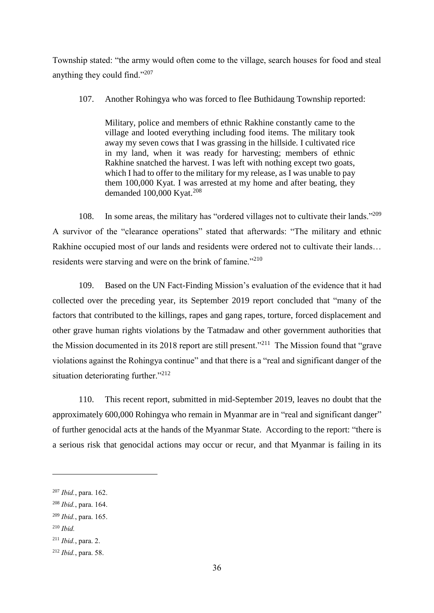Township stated: "the army would often come to the village, search houses for food and steal anything they could find."<sup>207</sup>

# 107. Another Rohingya who was forced to flee Buthidaung Township reported:

Military, police and members of ethnic Rakhine constantly came to the village and looted everything including food items. The military took away my seven cows that I was grassing in the hillside. I cultivated rice in my land, when it was ready for harvesting; members of ethnic Rakhine snatched the harvest. I was left with nothing except two goats, which I had to offer to the military for my release, as I was unable to pay them 100,000 Kyat. I was arrested at my home and after beating, they demanded 100,000 Kyat.<sup>208</sup>

108. In some areas, the military has "ordered villages not to cultivate their lands."<sup>209</sup> A survivor of the "clearance operations" stated that afterwards: "The military and ethnic Rakhine occupied most of our lands and residents were ordered not to cultivate their lands… residents were starving and were on the brink of famine."<sup>210</sup>

109. Based on the UN Fact-Finding Mission's evaluation of the evidence that it had collected over the preceding year, its September 2019 report concluded that "many of the factors that contributed to the killings, rapes and gang rapes, torture, forced displacement and other grave human rights violations by the Tatmadaw and other government authorities that the Mission documented in its 2018 report are still present."<sup>211</sup> The Mission found that "grave violations against the Rohingya continue" and that there is a "real and significant danger of the situation deteriorating further."<sup>212</sup>

110. This recent report, submitted in mid-September 2019, leaves no doubt that the approximately 600,000 Rohingya who remain in Myanmar are in "real and significant danger" of further genocidal acts at the hands of the Myanmar State. According to the report: "there is a serious risk that genocidal actions may occur or recur, and that Myanmar is failing in its

<sup>210</sup> *Ibid.*

<sup>207</sup> *Ibid.*, para. 162.

<sup>208</sup> *Ibid.*, para. 164.

<sup>209</sup> *Ibid.*, para. 165.

<sup>211</sup> *Ibid.*, para. 2.

<sup>212</sup> *Ibid.*, para. 58.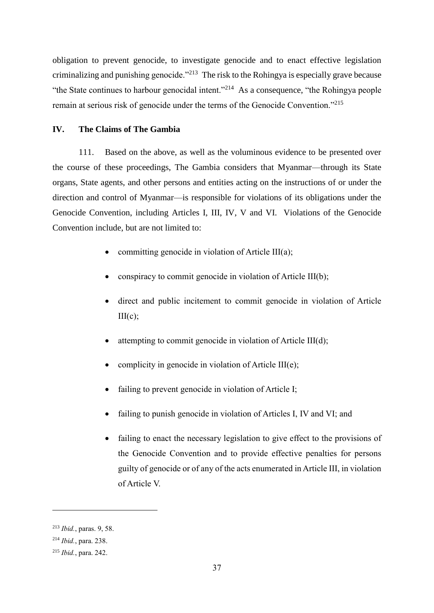obligation to prevent genocide, to investigate genocide and to enact effective legislation criminalizing and punishing genocide."<sup>213</sup> The risk to the Rohingya is especially grave because "the State continues to harbour genocidal intent."<sup>214</sup> As a consequence, "the Rohingya people remain at serious risk of genocide under the terms of the Genocide Convention."<sup>215</sup>

# **IV. The Claims of The Gambia**

111. Based on the above, as well as the voluminous evidence to be presented over the course of these proceedings, The Gambia considers that Myanmar—through its State organs, State agents, and other persons and entities acting on the instructions of or under the direction and control of Myanmar—is responsible for violations of its obligations under the Genocide Convention, including Articles I, III, IV, V and VI. Violations of the Genocide Convention include, but are not limited to:

- committing genocide in violation of Article III(a);
- conspiracy to commit genocide in violation of Article III(b);
- direct and public incitement to commit genocide in violation of Article  $III(c)$ :
- attempting to commit genocide in violation of Article III(d);
- complicity in genocide in violation of Article III(e);
- failing to prevent genocide in violation of Article I;
- failing to punish genocide in violation of Articles I, IV and VI; and
- failing to enact the necessary legislation to give effect to the provisions of the Genocide Convention and to provide effective penalties for persons guilty of genocide or of any of the acts enumerated in Article III, in violation of Article V.

<sup>213</sup> *Ibid.*, paras. 9, 58.

<sup>214</sup> *Ibid.*, para. 238.

<sup>215</sup> *Ibid.*, para. 242.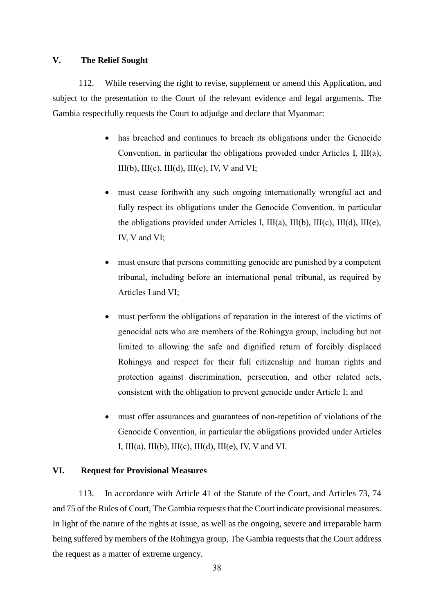#### **V. The Relief Sought**

112. While reserving the right to revise, supplement or amend this Application, and subject to the presentation to the Court of the relevant evidence and legal arguments, The Gambia respectfully requests the Court to adjudge and declare that Myanmar:

- has breached and continues to breach its obligations under the Genocide Convention, in particular the obligations provided under Articles I, III(a),  $III(b)$ ,  $III(c)$ ,  $III(d)$ ,  $III(e)$ , IV, V and VI;
- must cease forthwith any such ongoing internationally wrongful act and fully respect its obligations under the Genocide Convention, in particular the obligations provided under Articles I, III(a), III(b), III(c), III(d), III(e), IV, V and VI;
- must ensure that persons committing genocide are punished by a competent tribunal, including before an international penal tribunal, as required by Articles I and VI;
- must perform the obligations of reparation in the interest of the victims of genocidal acts who are members of the Rohingya group, including but not limited to allowing the safe and dignified return of forcibly displaced Rohingya and respect for their full citizenship and human rights and protection against discrimination, persecution, and other related acts, consistent with the obligation to prevent genocide under Article I; and
- must offer assurances and guarantees of non-repetition of violations of the Genocide Convention, in particular the obligations provided under Articles I,  $III(a)$ ,  $III(b)$ ,  $III(c)$ ,  $III(d)$ ,  $III(e)$ , IV, V and VI.

#### **VI. Request for Provisional Measures**

113. In accordance with Article 41 of the Statute of the Court, and Articles 73, 74 and 75 of the Rules of Court, The Gambia requests that the Court indicate provisional measures. In light of the nature of the rights at issue, as well as the ongoing, severe and irreparable harm being suffered by members of the Rohingya group, The Gambia requests that the Court address the request as a matter of extreme urgency.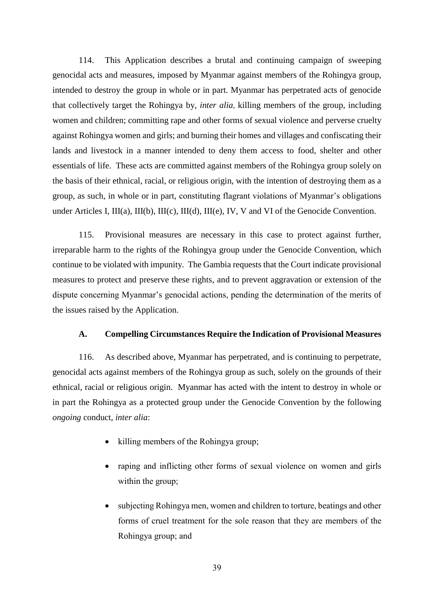114. This Application describes a brutal and continuing campaign of sweeping genocidal acts and measures, imposed by Myanmar against members of the Rohingya group, intended to destroy the group in whole or in part. Myanmar has perpetrated acts of genocide that collectively target the Rohingya by, *inter alia*, killing members of the group, including women and children; committing rape and other forms of sexual violence and perverse cruelty against Rohingya women and girls; and burning their homes and villages and confiscating their lands and livestock in a manner intended to deny them access to food, shelter and other essentials of life. These acts are committed against members of the Rohingya group solely on the basis of their ethnical, racial, or religious origin, with the intention of destroying them as a group, as such, in whole or in part, constituting flagrant violations of Myanmar's obligations under Articles I, III(a), III(b), III(c), III(d), III(e), IV, V and VI of the Genocide Convention.

115. Provisional measures are necessary in this case to protect against further, irreparable harm to the rights of the Rohingya group under the Genocide Convention, which continue to be violated with impunity. The Gambia requests that the Court indicate provisional measures to protect and preserve these rights, and to prevent aggravation or extension of the dispute concerning Myanmar's genocidal actions, pending the determination of the merits of the issues raised by the Application.

#### **A. Compelling Circumstances Require the Indication of Provisional Measures**

116. As described above, Myanmar has perpetrated, and is continuing to perpetrate, genocidal acts against members of the Rohingya group as such, solely on the grounds of their ethnical, racial or religious origin. Myanmar has acted with the intent to destroy in whole or in part the Rohingya as a protected group under the Genocide Convention by the following *ongoing* conduct, *inter alia*:

- killing members of the Rohingya group;
- raping and inflicting other forms of sexual violence on women and girls within the group;
- subjecting Rohingya men, women and children to torture, beatings and other forms of cruel treatment for the sole reason that they are members of the Rohingya group; and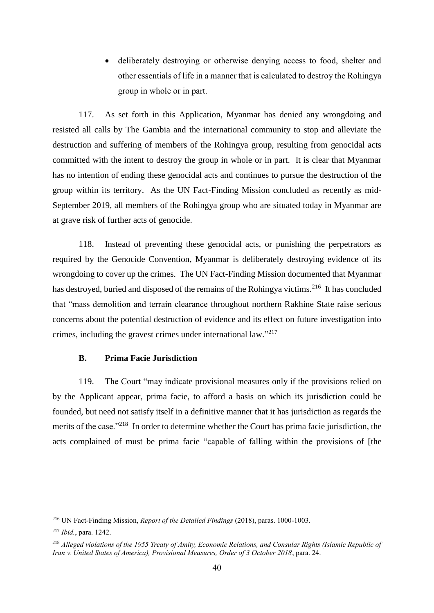deliberately destroying or otherwise denying access to food, shelter and other essentials of life in a manner that is calculated to destroy the Rohingya group in whole or in part.

117. As set forth in this Application, Myanmar has denied any wrongdoing and resisted all calls by The Gambia and the international community to stop and alleviate the destruction and suffering of members of the Rohingya group, resulting from genocidal acts committed with the intent to destroy the group in whole or in part. It is clear that Myanmar has no intention of ending these genocidal acts and continues to pursue the destruction of the group within its territory. As the UN Fact-Finding Mission concluded as recently as mid-September 2019, all members of the Rohingya group who are situated today in Myanmar are at grave risk of further acts of genocide.

118. Instead of preventing these genocidal acts, or punishing the perpetrators as required by the Genocide Convention, Myanmar is deliberately destroying evidence of its wrongdoing to cover up the crimes. The UN Fact-Finding Mission documented that Myanmar has destroyed, buried and disposed of the remains of the Rohingya victims.<sup>216</sup> It has concluded that "mass demolition and terrain clearance throughout northern Rakhine State raise serious concerns about the potential destruction of evidence and its effect on future investigation into crimes, including the gravest crimes under international law."<sup>217</sup>

# **B. Prima Facie Jurisdiction**

119. The Court "may indicate provisional measures only if the provisions relied on by the Applicant appear, prima facie, to afford a basis on which its jurisdiction could be founded, but need not satisfy itself in a definitive manner that it has jurisdiction as regards the merits of the case."<sup>218</sup> In order to determine whether the Court has prima facie jurisdiction, the acts complained of must be prima facie "capable of falling within the provisions of [the

<sup>216</sup> UN Fact-Finding Mission, *Report of the Detailed Findings* (2018), paras. 1000-1003.

<sup>217</sup> *Ibid.*, para. 1242.

<sup>218</sup> *Alleged violations of the 1955 Treaty of Amity, Economic Relations, and Consular Rights (Islamic Republic of Iran v. United States of America), Provisional Measures, Order of 3 October 2018*, para. 24.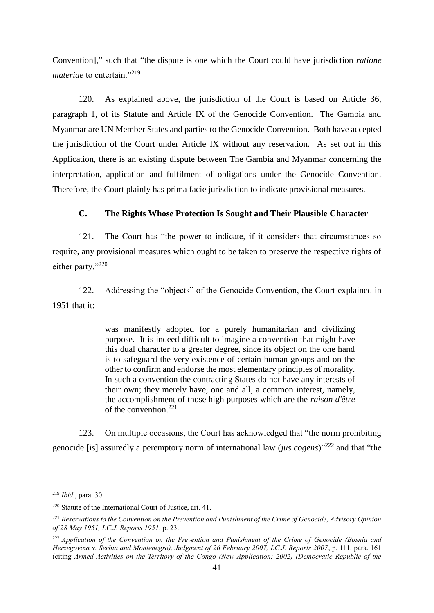Convention]," such that "the dispute is one which the Court could have jurisdiction *ratione materiae* to entertain."<sup>219</sup>

120. As explained above, the jurisdiction of the Court is based on Article 36, paragraph 1, of its Statute and Article IX of the Genocide Convention. The Gambia and Myanmar are UN Member States and parties to the Genocide Convention. Both have accepted the jurisdiction of the Court under Article IX without any reservation. As set out in this Application, there is an existing dispute between The Gambia and Myanmar concerning the interpretation, application and fulfilment of obligations under the Genocide Convention. Therefore, the Court plainly has prima facie jurisdiction to indicate provisional measures.

# **C. The Rights Whose Protection Is Sought and Their Plausible Character**

121. The Court has "the power to indicate, if it considers that circumstances so require, any provisional measures which ought to be taken to preserve the respective rights of either party."<sup>220</sup>

122. Addressing the "objects" of the Genocide Convention, the Court explained in 1951 that it:

> was manifestly adopted for a purely humanitarian and civilizing purpose. It is indeed difficult to imagine a convention that might have this dual character to a greater degree, since its object on the one hand is to safeguard the very existence of certain human groups and on the other to confirm and endorse the most elementary principles of morality. In such a convention the contracting States do not have any interests of their own; they merely have, one and all, a common interest, namely, the accomplishment of those high purposes which are the *raison d'être* of the convention.<sup>221</sup>

123. On multiple occasions, the Court has acknowledged that "the norm prohibiting genocide [is] assuredly a peremptory norm of international law (*jus cogens*)"<sup>222</sup> and that "the

<sup>219</sup> *Ibid.*, para. 30.

<sup>220</sup> Statute of the International Court of Justice, art. 41.

<sup>221</sup> *Reservations to the Convention on the Prevention and Punishment of the Crime of Genocide, Advisory Opinion of 28 May 1951, I.C.J. Reports 1951*, p. 23.

<sup>222</sup> *Application of the Convention on the Prevention and Punishment of the Crime of Genocide (Bosnia and Herzegovina* v. *Serbia and Montenegro), Judgment of 26 February 2007, I.C.J. Reports 2007*, p. 111, para. 161 (citing *Armed Activities on the Territory of the Congo (New Application: 2002) (Democratic Republic of the*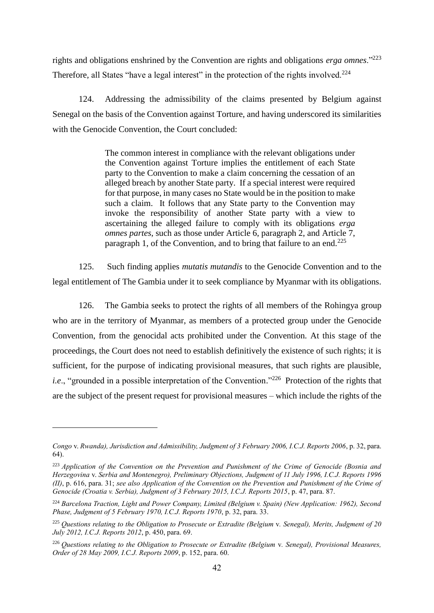rights and obligations enshrined by the Convention are rights and obligations *erga omnes*."<sup>223</sup> Therefore, all States "have a legal interest" in the protection of the rights involved.<sup>224</sup>

124. Addressing the admissibility of the claims presented by Belgium against Senegal on the basis of the Convention against Torture, and having underscored its similarities with the Genocide Convention, the Court concluded:

> The common interest in compliance with the relevant obligations under the Convention against Torture implies the entitlement of each State party to the Convention to make a claim concerning the cessation of an alleged breach by another State party. If a special interest were required for that purpose, in many cases no State would be in the position to make such a claim. It follows that any State party to the Convention may invoke the responsibility of another State party with a view to ascertaining the alleged failure to comply with its obligations *erga omnes partes*, such as those under Article 6, paragraph 2, and Article 7, paragraph 1, of the Convention, and to bring that failure to an end.<sup>225</sup>

125. Such finding applies *mutatis mutandis* to the Genocide Convention and to the legal entitlement of The Gambia under it to seek compliance by Myanmar with its obligations.

126. The Gambia seeks to protect the rights of all members of the Rohingya group who are in the territory of Myanmar, as members of a protected group under the Genocide Convention, from the genocidal acts prohibited under the Convention. At this stage of the proceedings, the Court does not need to establish definitively the existence of such rights; it is sufficient, for the purpose of indicating provisional measures, that such rights are plausible, i.e., "grounded in a possible interpretation of the Convention."<sup>226</sup> Protection of the rights that are the subject of the present request for provisional measures – which include the rights of the

*Congo* v. *Rwanda), Jurisdiction and Admissibility, Judgment of 3 February 2006, I.C.J. Reports 2006*, p. 32, para. 64).

<sup>223</sup> *Application of the Convention on the Prevention and Punishment of the Crime of Genocide (Bosnia and Herzegovina* v. *Serbia and Montenegro), Preliminary Objections, Judgment of 11 July 1996, I.C.J. Reports 1996 (II)*, p. 616, para. 31; *see also Application of the Convention on the Prevention and Punishment of the Crime of Genocide (Croatia v. Serbia), Judgment of 3 February 2015, I.C.J. Reports 2015*, p. 47, para. 87.

<sup>224</sup> *Barcelona Traction, Light and Power Company, Limited (Belgium v. Spain) (New Application: 1962), Second Phase, Judgment of 5 February 1970, I.C.J. Reports 1970*, p. 32, para. 33.

<sup>225</sup> *Questions relating to the Obligation to Prosecute or Extradite (Belgium* v*. Senegal), Merits, Judgment of 20 July 2012, I.C.J. Reports 2012*, p. 450, para. 69.

<sup>226</sup> *Questions relating to the Obligation to Prosecute or Extradite (Belgium* v*. Senegal), Provisional Measures, Order of 28 May 2009, I.C.J. Reports 2009*, p. 152, para. 60.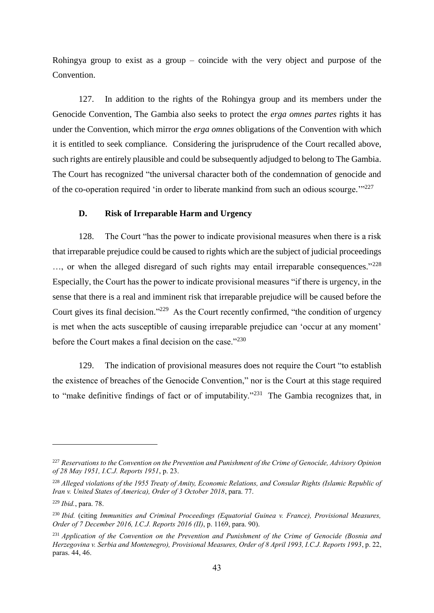Rohingya group to exist as a group – coincide with the very object and purpose of the Convention.

127. In addition to the rights of the Rohingya group and its members under the Genocide Convention, The Gambia also seeks to protect the *erga omnes partes* rights it has under the Convention, which mirror the *erga omnes* obligations of the Convention with which it is entitled to seek compliance. Considering the jurisprudence of the Court recalled above, such rights are entirely plausible and could be subsequently adjudged to belong to The Gambia. The Court has recognized "the universal character both of the condemnation of genocide and of the co-operation required 'in order to liberate mankind from such an odious scourge."<sup>227</sup>

# **D. Risk of Irreparable Harm and Urgency**

128. The Court "has the power to indicate provisional measures when there is a risk that irreparable prejudice could be caused to rights which are the subject of judicial proceedings ..., or when the alleged disregard of such rights may entail irreparable consequences."<sup>228</sup> Especially, the Court has the power to indicate provisional measures "if there is urgency, in the sense that there is a real and imminent risk that irreparable prejudice will be caused before the Court gives its final decision."<sup>229</sup> As the Court recently confirmed, "the condition of urgency is met when the acts susceptible of causing irreparable prejudice can 'occur at any moment' before the Court makes a final decision on the case."<sup>230</sup>

129. The indication of provisional measures does not require the Court "to establish the existence of breaches of the Genocide Convention," nor is the Court at this stage required to "make definitive findings of fact or of imputability."<sup>231</sup> The Gambia recognizes that, in

<sup>227</sup> *Reservations to the Convention on the Prevention and Punishment of the Crime of Genocide, Advisory Opinion of 28 May 1951, I.C.J. Reports 1951*, p. 23.

<sup>228</sup> *Alleged violations of the 1955 Treaty of Amity, Economic Relations, and Consular Rights (Islamic Republic of Iran v. United States of America), Order of 3 October 2018*, para. 77.

<sup>229</sup> *Ibid.*, para. 78.

<sup>230</sup> *Ibid.* (citing *Immunities and Criminal Proceedings (Equatorial Guinea v. France), Provisional Measures, Order of 7 December 2016, I.C.J. Reports 2016 (II)*, p. 1169, para. 90).

<sup>231</sup> *Application of the Convention on the Prevention and Punishment of the Crime of Genocide (Bosnia and Herzegovina v. Serbia and Montenegro), Provisional Measures, Order of 8 April 1993, I.C.J. Reports 1993*, p. 22, paras. 44, 46.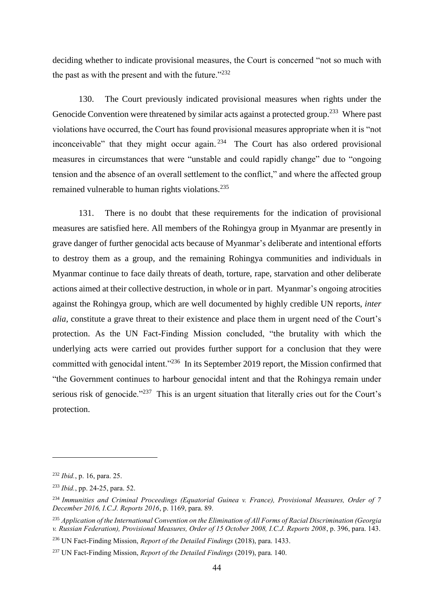deciding whether to indicate provisional measures, the Court is concerned "not so much with the past as with the present and with the future."<sup>232</sup>

130. The Court previously indicated provisional measures when rights under the Genocide Convention were threatened by similar acts against a protected group.<sup>233</sup> Where past violations have occurred, the Court has found provisional measures appropriate when it is "not inconceivable" that they might occur again. $234$  The Court has also ordered provisional measures in circumstances that were "unstable and could rapidly change" due to "ongoing tension and the absence of an overall settlement to the conflict," and where the affected group remained vulnerable to human rights violations.<sup>235</sup>

131. There is no doubt that these requirements for the indication of provisional measures are satisfied here. All members of the Rohingya group in Myanmar are presently in grave danger of further genocidal acts because of Myanmar's deliberate and intentional efforts to destroy them as a group, and the remaining Rohingya communities and individuals in Myanmar continue to face daily threats of death, torture, rape, starvation and other deliberate actions aimed at their collective destruction, in whole or in part. Myanmar's ongoing atrocities against the Rohingya group, which are well documented by highly credible UN reports, *inter alia*, constitute a grave threat to their existence and place them in urgent need of the Court's protection. As the UN Fact-Finding Mission concluded, "the brutality with which the underlying acts were carried out provides further support for a conclusion that they were committed with genocidal intent."<sup>236</sup> In its September 2019 report, the Mission confirmed that "the Government continues to harbour genocidal intent and that the Rohingya remain under serious risk of genocide."<sup>237</sup> This is an urgent situation that literally cries out for the Court's protection.

<sup>232</sup> *Ibid.*, p. 16, para. 25.

<sup>233</sup> *Ibid.*, pp. 24-25, para. 52.

<sup>234</sup> *Immunities and Criminal Proceedings (Equatorial Guinea v. France), Provisional Measures, Order of 7 December 2016, I.C.J. Reports 2016*, p. 1169, para. 89.

<sup>235</sup> *Application of the International Convention on the Elimination of All Forms of Racial Discrimination (Georgia v. Russian Federation), Provisional Measures, Order of 15 October 2008, I.C.J. Reports 2008*, p. 396, para. 143.

<sup>236</sup> UN Fact-Finding Mission, *Report of the Detailed Findings* (2018), para. 1433.

<sup>237</sup> UN Fact-Finding Mission, *Report of the Detailed Findings* (2019), para. 140.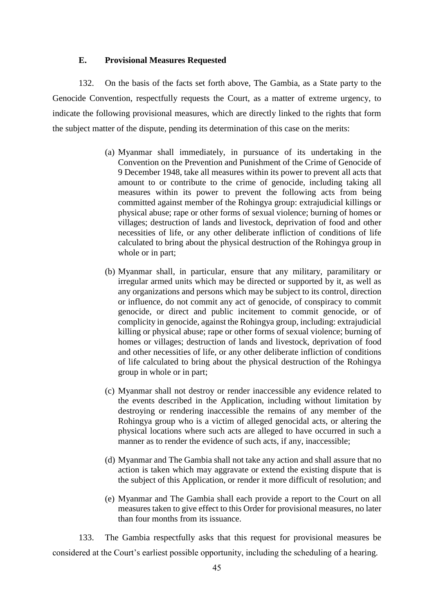# **E. Provisional Measures Requested**

132. On the basis of the facts set forth above, The Gambia, as a State party to the Genocide Convention, respectfully requests the Court, as a matter of extreme urgency, to indicate the following provisional measures, which are directly linked to the rights that form the subject matter of the dispute, pending its determination of this case on the merits:

- (a) Myanmar shall immediately, in pursuance of its undertaking in the Convention on the Prevention and Punishment of the Crime of Genocide of 9 December 1948, take all measures within its power to prevent all acts that amount to or contribute to the crime of genocide, including taking all measures within its power to prevent the following acts from being committed against member of the Rohingya group: extrajudicial killings or physical abuse; rape or other forms of sexual violence; burning of homes or villages; destruction of lands and livestock, deprivation of food and other necessities of life, or any other deliberate infliction of conditions of life calculated to bring about the physical destruction of the Rohingya group in whole or in part;
- (b) Myanmar shall, in particular, ensure that any military, paramilitary or irregular armed units which may be directed or supported by it, as well as any organizations and persons which may be subject to its control, direction or influence, do not commit any act of genocide, of conspiracy to commit genocide, or direct and public incitement to commit genocide, or of complicity in genocide, against the Rohingya group, including: extrajudicial killing or physical abuse; rape or other forms of sexual violence; burning of homes or villages; destruction of lands and livestock, deprivation of food and other necessities of life, or any other deliberate infliction of conditions of life calculated to bring about the physical destruction of the Rohingya group in whole or in part;
- (c) Myanmar shall not destroy or render inaccessible any evidence related to the events described in the Application, including without limitation by destroying or rendering inaccessible the remains of any member of the Rohingya group who is a victim of alleged genocidal acts, or altering the physical locations where such acts are alleged to have occurred in such a manner as to render the evidence of such acts, if any, inaccessible;
- (d) Myanmar and The Gambia shall not take any action and shall assure that no action is taken which may aggravate or extend the existing dispute that is the subject of this Application, or render it more difficult of resolution; and
- (e) Myanmar and The Gambia shall each provide a report to the Court on all measures taken to give effect to this Order for provisional measures, no later than four months from its issuance.

133. The Gambia respectfully asks that this request for provisional measures be considered at the Court's earliest possible opportunity, including the scheduling of a hearing.